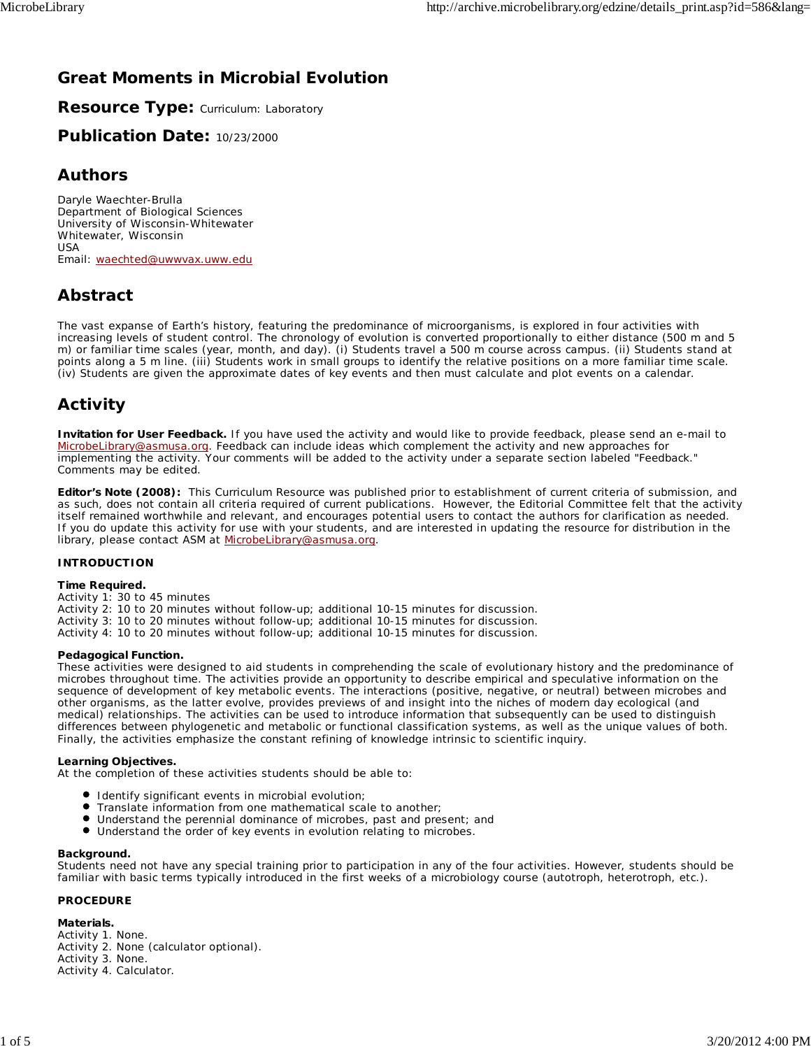### **Great Moments in Microbial Evolution**

**Resource Type: Curriculum: Laboratory** 

**Publication Date:** 10/23/2000

#### **Authors**

*Daryle Waechter-Brulla* Department of Biological Sciences University of Wisconsin-Whitewater Whitewater, Wisconsin USA Email: waechted@uwwvax.uww.edu

### **Abstract**

The vast expanse of Earth's history, featuring the predominance of microorganisms, is explored in four activities with increasing levels of student control. The chronology of evolution is converted proportionally to either distance (500 m and 5 m) or familiar time scales (year, month, and day). (i) Students travel a 500 m course across campus. (ii) Students stand at points along a 5 m line. (iii) Students work in small groups to identify the relative positions on a more familiar time scale. (iv) Students are given the approximate dates of key events and then must calculate and plot events on a calendar.

### **Activity**

**Invitation for User Feedback.** If you have used the activity and would like to provide feedback, please send an e-mail to MicrobeLibrary@asmusa.org. Feedback can include ideas which complement the activity and new approaches for implementing the activity. Your comments will be added to the activity under a separate section labeled "Feedback." Comments may be edited.

**Editor's Note (2008):** This Curriculum Resource was published prior to establishment of current criteria of submission, and as such, does not contain all criteria required of current publications. However, the Editorial Committee felt that the activity itself remained worthwhile and relevant, and encourages potential users to contact the authors for clarification as needed. If you do update this activity for use with your students, and are interested in updating the resource for distribution in the library, please contact ASM at MicrobeLibrary@asmusa.org.

#### **INTRODUCTION**

#### **Time Required.**

Activity 1: 30 to 45 minutes

Activity 2: 10 to 20 minutes without follow-up; additional 10-15 minutes for discussion. Activity 3: 10 to 20 minutes without follow-up; additional 10-15 minutes for discussion. Activity 4: 10 to 20 minutes without follow-up; additional 10-15 minutes for discussion.

#### **Pedagogical Function.**

These activities were designed to aid students in comprehending the scale of evolutionary history and the predominance of microbes throughout time. The activities provide an opportunity to describe empirical and speculative information on the sequence of development of key metabolic events. The interactions (positive, negative, or neutral) between microbes and other organisms, as the latter evolve, provides previews of and insight into the niches of modern day ecological (and medical) relationships. The activities can be used to introduce information that subsequently can be used to distinguish differences between phylogenetic and metabolic or functional classification systems, as well as the unique values of both. Finally, the activities emphasize the constant refining of knowledge intrinsic to scientific inquiry.

#### **Learning Objectives.**

At the completion of these activities students should be able to:

- **Identify significant events in microbial evolution;**
- **Translate information from one mathematical scale to another;**
- $\bullet$ Understand the perennial dominance of microbes, past and present; and
- $\bullet$ Understand the order of key events in evolution relating to microbes.

#### **Background.**

Students need not have any special training prior to participation in any of the four activities. However, students should be familiar with basic terms typically introduced in the first weeks of a microbiology course (autotroph, heterotroph, etc.).

#### **PROCEDURE**

**Materials.** Activity 1. None. Activity 2. None (calculator optional). Activity 3. None. Activity 4. Calculator.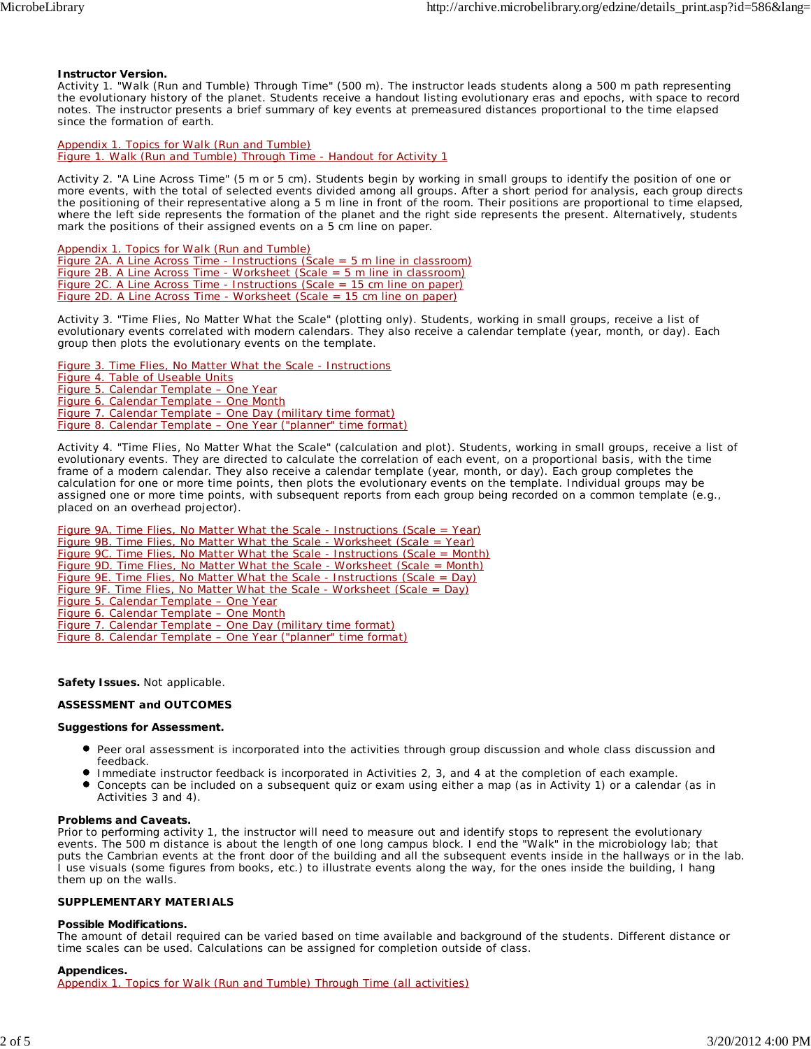#### **Instructor Version.**

*Activity 1.* "Walk (Run and Tumble) Through Time" (500 m). The instructor leads students along a 500 m path representing the evolutionary history of the planet. Students receive a handout listing evolutionary eras and epochs, with space to record notes. The instructor presents a brief summary of key events at premeasured distances proportional to the time elapsed since the formation of earth.

Appendix 1. Topics for Walk (Run and Tumble) Figure 1. Walk (Run and Tumble) Through Time - Handout for Activity 1

*Activity 2.* "A Line Across Time" (5 m or 5 cm). Students begin by working in small groups to identify the position of one or more events, with the total of selected events divided among all groups. After a short period for analysis, each group directs the positioning of their representative along a 5 m line in front of the room. Their positions are proportional to time elapsed, where the left side represents the formation of the planet and the right side represents the present. Alternatively, students mark the positions of their assigned events on a 5 cm line on paper.

Appendix 1. Topics for Walk (Run and Tumble) Figure 2A. A Line Across Time - Instructions (Scale =  $5$  m line in classroom) Figure 2B. A Line Across Time - Worksheet (Scale = 5 m line in classroom) Figure 2C. A Line Across Time - Instructions (Scale = 15 cm line on paper) Figure 2D. A Line Across Time - Worksheet (Scale = 15 cm line on paper)

*Activity 3.* "Time Flies, No Matter What the Scale" (plotting only). Students, working in small groups, receive a list of evolutionary events correlated with modern calendars. They also receive a calendar template (year, month, or day). Each group then plots the evolutionary events on the template.

Figure 3. Time Flies, No Matter What the Scale - Instructions Figure 4. Table of Useable Units Figure 5. Calendar Template – One Year Figure 6. Calendar Template – One Month Figure 7. Calendar Template – One Day (military time format) Figure 8. Calendar Template – One Year ("planner" time format)

*Activity 4.* "Time Flies, No Matter What the Scale" (calculation and plot). Students, working in small groups, receive a list of evolutionary events. They are directed to calculate the correlation of each event, on a proportional basis, with the time frame of a modern calendar. They also receive a calendar template (year, month, or day). Each group completes the calculation for one or more time points, then plots the evolutionary events on the template. Individual groups may be assigned one or more time points, with subsequent reports from each group being recorded on a common template (e.g., placed on an overhead projector).

Figure 9A. Time Flies, No Matter What the Scale - Instructions (Scale = Year) Figure 9B. Time Flies, No Matter What the Scale - Worksheet (Scale = Year) Figure 9C. Time Flies, No Matter What the Scale - Instructions (Scale = Month) Figure 9D. Time Flies, No Matter What the Scale - Worksheet (Scale = Month) Figure 9E. Time Flies, No Matter What the Scale - Instructions (Scale = Day) Figure 9F. Time Flies, No Matter What the Scale - Worksheet (Scale = Day) Figure 5. Calendar Template – One Year Figure 6. Calendar Template – One Month Figure 7. Calendar Template – One Day (military time format) Figure 8. Calendar Template – One Year ("planner" time format)

**Safety Issues.** Not applicable.

#### **ASSESSMENT and OUTCOMES**

#### **Suggestions for Assessment.**

- Peer oral assessment is incorporated into the activities through group discussion and whole class discussion and feedback.
- Immediate instructor feedback is incorporated in Activities 2, 3, and 4 at the completion of each example.
- $\bullet$ Concepts can be included on a subsequent quiz or exam using either a map (as in Activity 1) or a calendar (as in Activities 3 and 4).

#### **Problems and Caveats.**

Prior to performing activity 1, the instructor will need to measure out and identify stops to represent the evolutionary events. The 500 m distance is about the length of one long campus block. I end the "Walk" in the microbiology lab; that puts the Cambrian events at the front door of the building and all the subsequent events inside in the hallways or in the lab. I use visuals (some figures from books, etc.) to illustrate events along the way, for the ones inside the building, I hang them up on the walls.

#### **SUPPLEMENTARY MATERIALS**

#### **Possible Modifications.**

The amount of detail required can be varied based on time available and background of the students. Different distance or time scales can be used. Calculations can be assigned for completion outside of class.

#### **Appendices.**

Appendix 1. Topics for Walk (Run and Tumble) Through Time (all activities)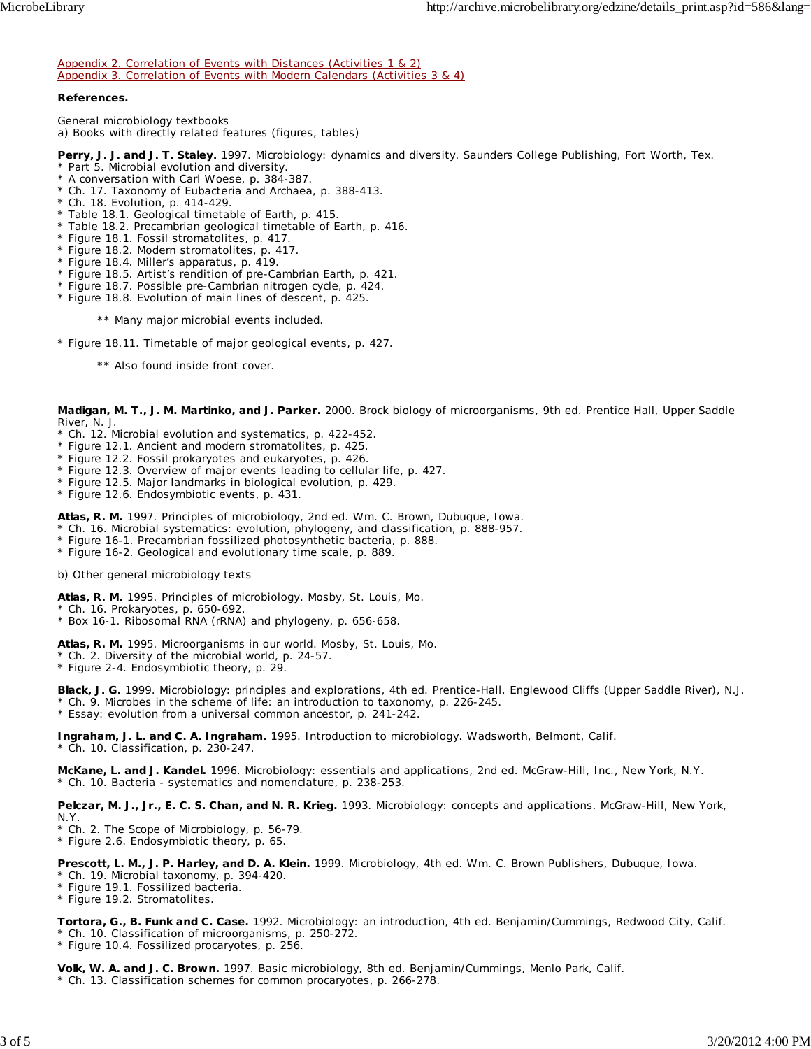Appendix 2. Correlation of Events with Distances (Activities 1 & 2) Appendix 3. Correlation of Events with Modern Calendars (Activities 3 & 4)

#### **References.**

*General microbiology textbooks* a) Books with directly related features (figures, tables)

**Perry, J. J. and J. T. Staley.** 1997. Microbiology: dynamics and diversity. Saunders College Publishing, Fort Worth, Tex. \* Part 5. Microbial evolution and diversity.

- \* A conversation with Carl Woese, p. 384-387.
- \* Ch. 17. Taxonomy of Eubacteria and Archaea, p. 388-413.
- \* Ch. 18. Evolution, p. 414-429.
- \* Table 18.1. Geological timetable of Earth, p. 415.
- \* Table 18.2. Precambrian geological timetable of Earth, p. 416.
- \* Figure 18.1. Fossil stromatolites, p. 417.
- \* Figure 18.2. Modern stromatolites, p. 417.
- \* Figure 18.4. Miller's apparatus, p. 419.
- \* Figure 18.5. Artist's rendition of pre-Cambrian Earth, p. 421.
- \* Figure 18.7. Possible pre-Cambrian nitrogen cycle, p. 424.
- \* Figure 18.8. Evolution of main lines of descent, p. 425.
	- \*\* Many major microbial events included.
- \* Figure 18.11. Timetable of major geological events, p. 427.
	- \*\* Also found inside front cover.

**Madigan, M. T., J. M. Martinko, and J. Parker.** 2000. Brock biology of microorganisms, 9th ed. Prentice Hall, Upper Saddle River, N. J.

- \* Ch. 12. Microbial evolution and systematics, p. 422-452.
- \* Figure 12.1. Ancient and modern stromatolites, p. 425.
- \* Figure 12.2. Fossil prokaryotes and eukaryotes, p. 426.
- \* Figure 12.3. Overview of major events leading to cellular life, p. 427.
- \* Figure 12.5. Major landmarks in biological evolution, p. 429.
- \* Figure 12.6. Endosymbiotic events, p. 431.
- **Atlas, R. M.** 1997. Principles of microbiology, 2nd ed. Wm. C. Brown, Dubuque, Iowa.
- \* Ch. 16. Microbial systematics: evolution, phylogeny, and classification, p. 888-957.
- \* Figure 16-1. Precambrian fossilized photosynthetic bacteria, p. 888.
- \* Figure 16-2. Geological and evolutionary time scale, p. 889.

b) Other general microbiology texts

**Atlas, R. M.** 1995. Principles of microbiology. Mosby, St. Louis, Mo.

\* Ch. 16. Prokaryotes, p. 650-692.

\* Box 16-1. Ribosomal RNA (rRNA) and phylogeny, p. 656-658.

**Atlas, R. M.** 1995. Microorganisms in our world. Mosby, St. Louis, Mo.

\* Ch. 2. Diversity of the microbial world, p. 24-57.

\* Figure 2-4. Endosymbiotic theory, p. 29.

**Black, J. G.** 1999. Microbiology: principles and explorations, 4th ed. Prentice-Hall, Englewood Cliffs (Upper Saddle River), N.J. \* Ch. 9. Microbes in the scheme of life: an introduction to taxonomy, p. 226-245.

\* Essay: evolution from a universal common ancestor, p. 241-242.

**Ingraham, J. L. and C. A. Ingraham.** 1995. Introduction to microbiology. Wadsworth, Belmont, Calif. \* Ch. 10. Classification, p. 230-247.

**McKane, L. and J. Kandel.** 1996. Microbiology: essentials and applications, 2nd ed. McGraw-Hill, Inc., New York, N.Y. \* Ch. 10. Bacteria - systematics and nomenclature, p. 238-253.

**Pelczar, M. J., Jr., E. C. S. Chan, and N. R. Krieg.** 1993. Microbiology: concepts and applications. McGraw-Hill, New York, N.Y.

\* Ch. 2. The Scope of Microbiology, p. 56-79.

\* Figure 2.6. Endosymbiotic theory, p. 65.

**Prescott, L. M., J. P. Harley, and D. A. Klein.** 1999. Microbiology, 4th ed. Wm. C. Brown Publishers, Dubuque, Iowa.

\* Ch. 19. Microbial taxonomy, p. 394-420.

\* Figure 19.1. Fossilized bacteria.

\* Figure 19.2. Stromatolites.

**Tortora, G., B. Funk and C. Case.** 1992. Microbiology: an introduction, 4th ed. Benjamin/Cummings, Redwood City, Calif. \* Ch. 10. Classification of microorganisms, p. 250-272.

\* Figure 10.4. Fossilized procaryotes, p. 256.

**Volk, W. A. and J. C. Brown.** 1997. Basic microbiology, 8th ed. Benjamin/Cummings, Menlo Park, Calif. \* Ch. 13. Classification schemes for common procaryotes, p. 266-278.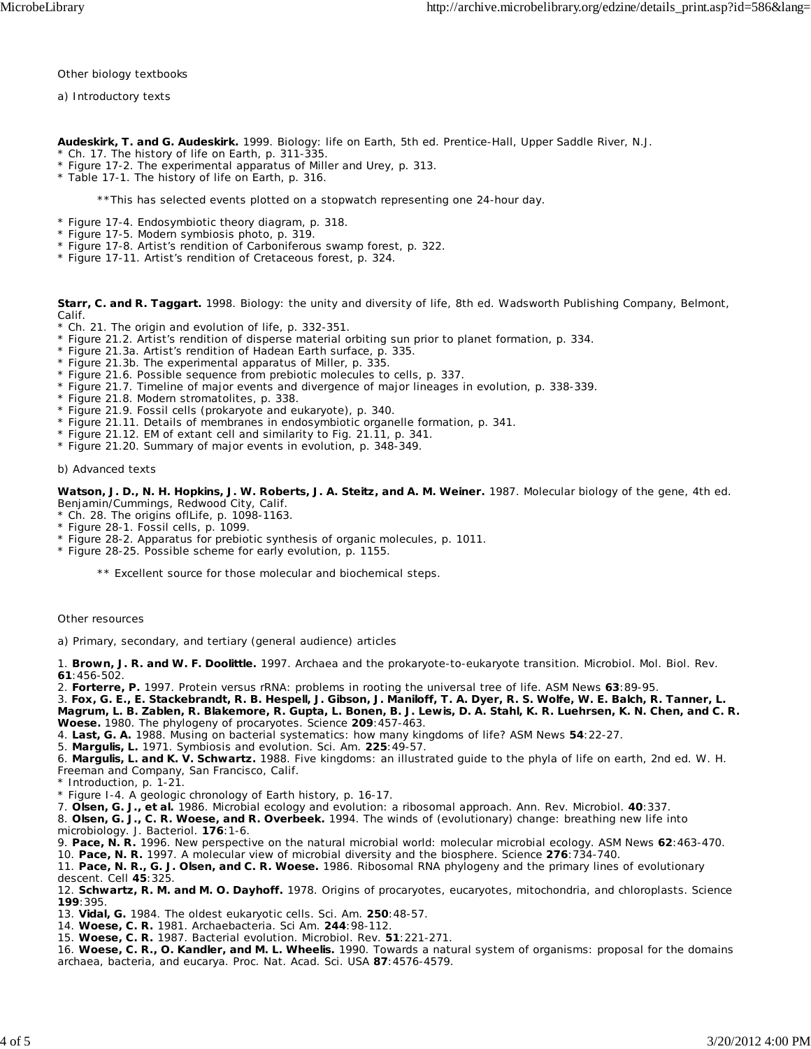*Other biology textbooks*

a) Introductory texts

**Audeskirk, T. and G. Audeskirk.** 1999. Biology: life on Earth, 5th ed. Prentice-Hall, Upper Saddle River, N.J.

- \* Ch. 17. The history of life on Earth, p. 311-335.
- \* Figure 17-2. The experimental apparatus of Miller and Urey, p. 313.
- \* Table 17-1. The history of life on Earth, p. 316.

\*\*This has selected events plotted on a stopwatch representing one 24-hour day.

- \* Figure 17-4. Endosymbiotic theory diagram, p. 318.
- \* Figure 17-5. Modern symbiosis photo, p. 319.
- \* Figure 17-8. Artist's rendition of Carboniferous swamp forest, p. 322.
- \* Figure 17-11. Artist's rendition of Cretaceous forest, p. 324.

**Starr, C. and R. Taggart.** 1998. Biology: the unity and diversity of life, 8th ed. Wadsworth Publishing Company, Belmont, Calif.

- Ch. 21. The origin and evolution of life, p. 332-351.
- \* Figure 21.2. Artist's rendition of disperse material orbiting sun prior to planet formation, p. 334.
- \* Figure 21.3a. Artist's rendition of Hadean Earth surface, p. 335.
- \* Figure 21.3b. The experimental apparatus of Miller, p. 335.
- \* Figure 21.6. Possible sequence from prebiotic molecules to cells, p. 337.
- \* Figure 21.7. Timeline of major events and divergence of major lineages in evolution, p. 338-339.
- \* Figure 21.8. Modern stromatolites, p. 338.
- \* Figure 21.9. Fossil cells (prokaryote and eukaryote), p. 340.
- \* Figure 21.11. Details of membranes in endosymbiotic organelle formation, p. 341.
- \* Figure 21.12. EM of extant cell and similarity to Fig. 21.11, p. 341.
- \* Figure 21.20. Summary of major events in evolution, p. 348-349.

b) Advanced texts

**Watson, J. D., N. H. Hopkins, J. W. Roberts, J. A. Steitz, and A. M. Weiner.** 1987. Molecular biology of the gene, 4th ed. Benjamin/Cummings, Redwood City, Calif.

\* Ch. 28. The origins oflLife, p. 1098-1163.

- \* Figure 28-1. Fossil cells, p. 1099.
- \* Figure 28-2. Apparatus for prebiotic synthesis of organic molecules, p. 1011.
- \* Figure 28-25. Possible scheme for early evolution, p. 1155.
	- \*\* Excellent source for those molecular and biochemical steps.

#### *Other resources*

a) Primary, secondary, and tertiary (general audience) articles

1. **Brown, J. R. and W. F. Doolittle.** 1997. Archaea and the prokaryote-to-eukaryote transition. Microbiol. Mol. Biol. Rev. **61**:456-502.

2. **Forterre, P.** 1997. Protein versus rRNA: problems in rooting the universal tree of life. ASM News **63**:89-95.

3. **Fox, G. E., E. Stackebrandt, R. B. Hespell, J. Gibson, J. Maniloff, T. A. Dyer, R. S. Wolfe, W. E. Balch, R. Tanner, L. Magrum, L. B. Zablen, R. Blakemore, R. Gupta, L. Bonen, B. J. Lewis, D. A. Stahl, K. R. Luehrsen, K. N. Chen, and C. R. Woese.** 1980. The phylogeny of procaryotes. Science **209**:457-463.

4. **Last, G. A.** 1988. Musing on bacterial systematics: how many kingdoms of life? ASM News **54**:22-27.

5. **Margulis, L.** 1971. Symbiosis and evolution. Sci. Am. **225**:49-57.

6. **Margulis, L. and K. V. Schwartz.** 1988. Five kingdoms: an illustrated guide to the phyla of life on earth, 2nd ed. W. H. Freeman and Company, San Francisco, Calif.

Introduction, p. 1-21.

\* Figure I-4. A geologic chronology of Earth history, p. 16-17.

7. **Olsen, G. J., et al.** 1986. Microbial ecology and evolution: a ribosomal approach. Ann. Rev. Microbiol. **40**:337.

8. **Olsen, G. J., C. R. Woese, and R. Overbeek.** 1994. The winds of (evolutionary) change: breathing new life into microbiology. J. Bacteriol. **176**:1-6.

9. **Pace, N. R.** 1996. New perspective on the natural microbial world: molecular microbial ecology. ASM News **62**:463-470.

10. **Pace, N. R.** 1997. A molecular view of microbial diversity and the biosphere. Science **276**:734-740.

11. **Pace, N. R., G. J. Olsen, and C. R. Woese.** 1986. Ribosomal RNA phylogeny and the primary lines of evolutionary descent. Cell **45**:325.

12. **Schwartz, R. M. and M. O. Dayhoff.** 1978. Origins of procaryotes, eucaryotes, mitochondria, and chloroplasts. Science **199**:395.

13. **Vidal, G.** 1984. The oldest eukaryotic cells. Sci. Am. **250**:48-57.

- 14. **Woese, C. R.** 1981. Archaebacteria. Sci Am. **244**:98-112.
- 15. **Woese, C. R.** 1987. Bacterial evolution. Microbiol. Rev. **51**:221-271.

16. **Woese, C. R., O. Kandler, and M. L. Wheelis.** 1990. Towards a natural system of organisms: proposal for the domains archaea, bacteria, and eucarya. Proc. Nat. Acad. Sci. USA **87**:4576-4579.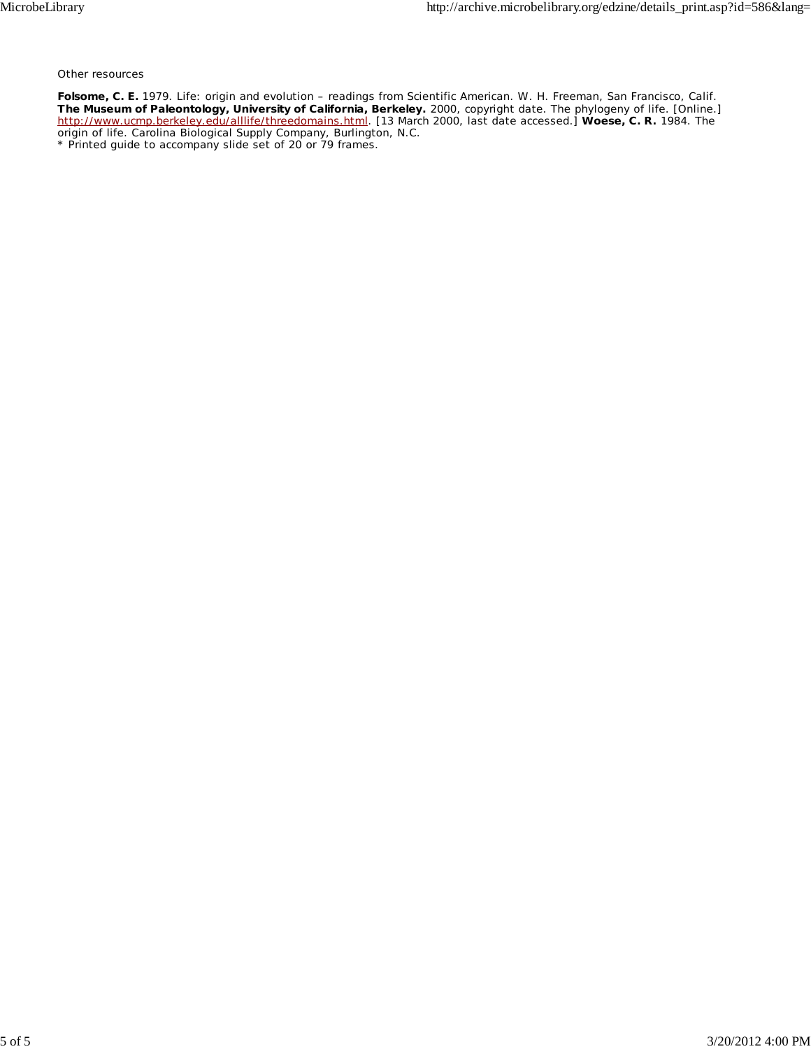*Other resources*

**Folsome, C. E.** 1979. Life: origin and evolution – readings from Scientific American. W. H. Freeman, San Francisco, Calif. **The Museum of Paleontology, University of California, Berkeley.** 2000, copyright date. The phylogeny of life. [Online.] http://www.ucmp.berkeley.edu/alllife/threedomains.html. [13 March 2000, last date accessed.] **Woese, C. R.** 1984. The origin of life. Carolina Biological Supply Company, Burlington, N.C. \* Printed guide to accompany slide set of 20 or 79 frames.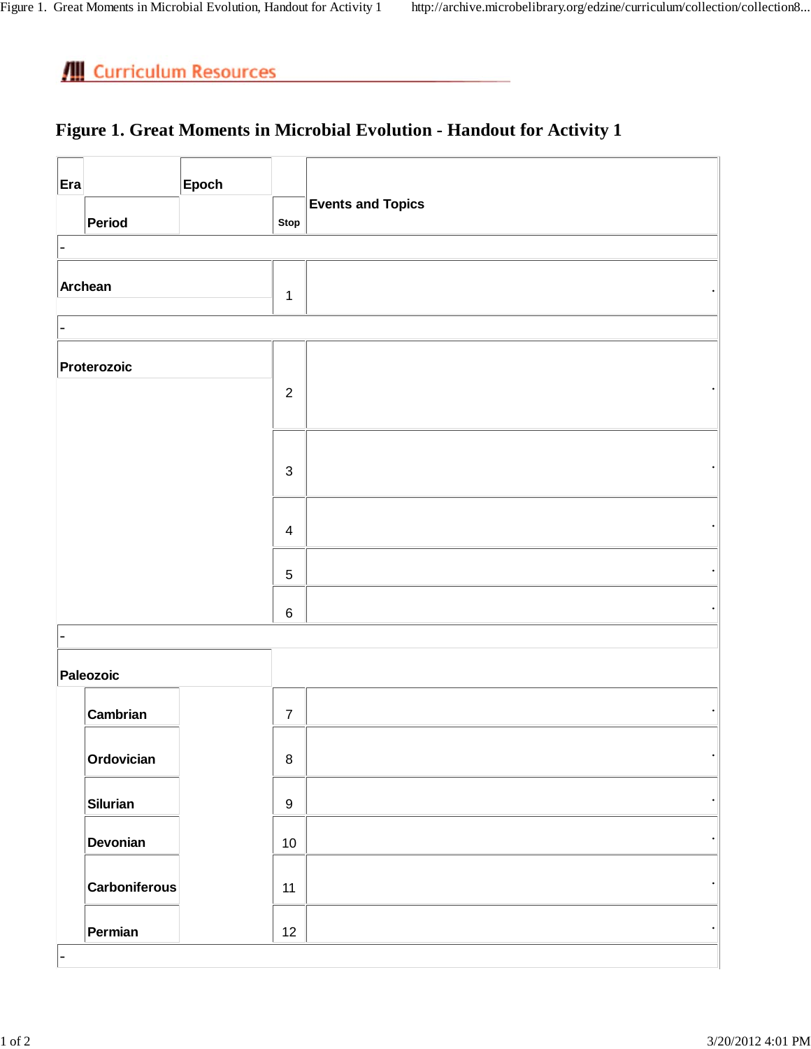### **Figure 1. Great Moments in Microbial Evolution - Handout for Activity 1**

|                      | Epoch |                  |                                            |
|----------------------|-------|------------------|--------------------------------------------|
| Period               |       | Stop             | <b>Events and Topics</b>                   |
|                      |       |                  |                                            |
| Archean              |       | $\mathbf{1}$     |                                            |
|                      |       |                  |                                            |
| Proterozoic          |       |                  |                                            |
|                      |       |                  |                                            |
|                      |       | $\mathbf{3}$     |                                            |
|                      |       |                  |                                            |
|                      |       | $\sqrt{5}$       |                                            |
|                      |       | $\,6\,$          |                                            |
|                      |       |                  |                                            |
| Paleozoic            |       |                  |                                            |
| Cambrian             |       | $\boldsymbol{7}$ |                                            |
| Ordovician           |       | $\,8\,$          |                                            |
| <b>Silurian</b>      |       | $\boldsymbol{9}$ | $\bullet$                                  |
| Devonian             |       | $10$             | $\bullet$                                  |
| <b>Carboniferous</b> |       | 11               | $\bullet$                                  |
| Permian              |       | 12               | $\bullet$                                  |
|                      |       |                  | $\overline{2}$<br>$\overline{\mathcal{A}}$ |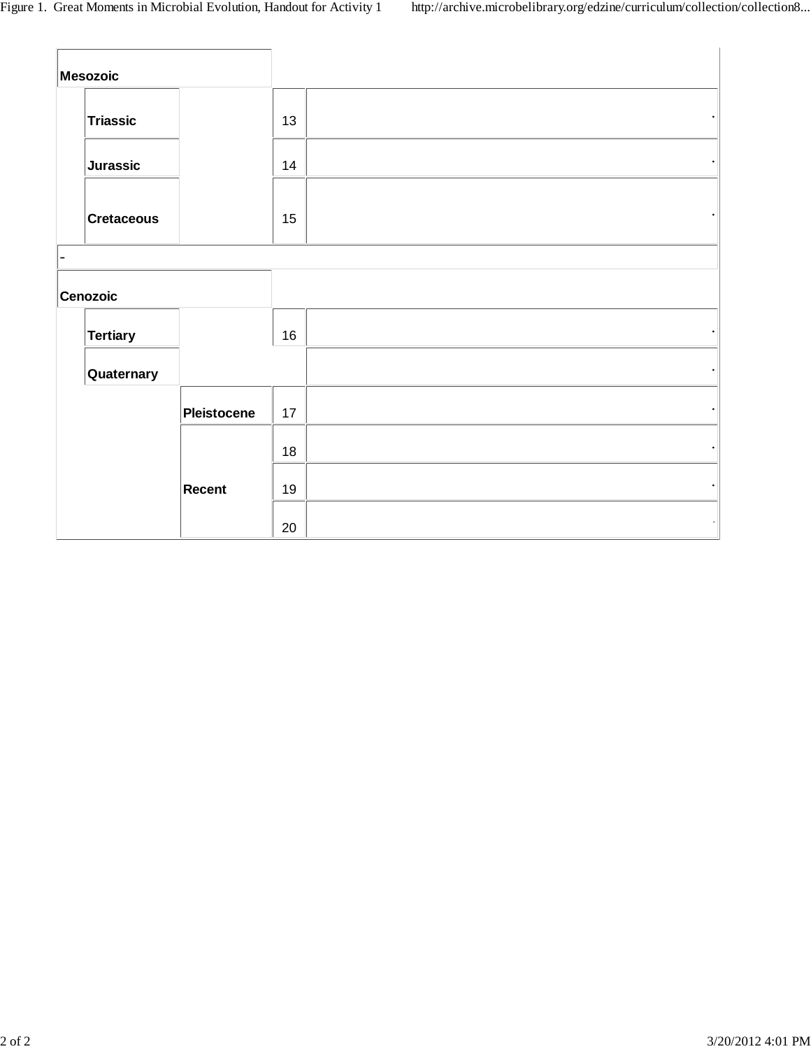| Mesozoic          |             |    |  |
|-------------------|-------------|----|--|
| <b>Triassic</b>   |             | 13 |  |
| <b>Jurassic</b>   |             | 14 |  |
| <b>Cretaceous</b> |             | 15 |  |
|                   |             |    |  |
| <b>Cenozoic</b>   |             |    |  |
| <b>Tertiary</b>   |             | 16 |  |
| Quaternary        |             |    |  |
|                   | Pleistocene | 17 |  |
|                   |             | 18 |  |
|                   | Recent      | 19 |  |
|                   |             | 20 |  |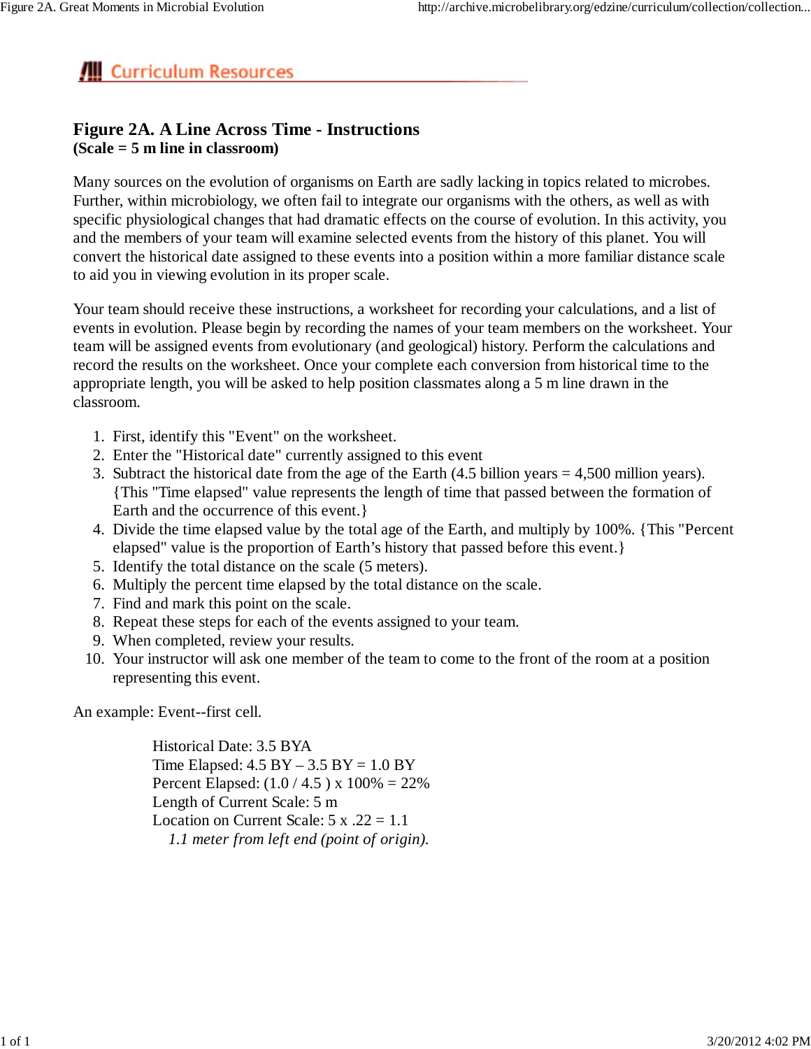### **Figure 2A. A Line Across Time - Instructions (Scale = 5 m line in classroom)**

Many sources on the evolution of organisms on Earth are sadly lacking in topics related to microbes. Further, within microbiology, we often fail to integrate our organisms with the others, as well as with specific physiological changes that had dramatic effects on the course of evolution. In this activity, you and the members of your team will examine selected events from the history of this planet. You will convert the historical date assigned to these events into a position within a more familiar distance scale to aid you in viewing evolution in its proper scale.

Your team should receive these instructions, a worksheet for recording your calculations, and a list of events in evolution. Please begin by recording the names of your team members on the worksheet. Your team will be assigned events from evolutionary (and geological) history. Perform the calculations and record the results on the worksheet. Once your complete each conversion from historical time to the appropriate length, you will be asked to help position classmates along a 5 m line drawn in the classroom.

- 1. First, identify this "Event" on the worksheet.
- 2. Enter the "Historical date" currently assigned to this event
- 3. Subtract the historical date from the age of the Earth  $(4.5$  billion years = 4,500 million years). {This "Time elapsed" value represents the length of time that passed between the formation of Earth and the occurrence of this event.}
- Divide the time elapsed value by the total age of the Earth, and multiply by 100%. {This "Percent 4. elapsed" value is the proportion of Earth's history that passed before this event.}
- 5. Identify the total distance on the scale (5 meters).
- 6. Multiply the percent time elapsed by the total distance on the scale.
- 7. Find and mark this point on the scale.
- 8. Repeat these steps for each of the events assigned to your team.
- 9. When completed, review your results.
- 10. Your instructor will ask one member of the team to come to the front of the room at a position representing this event.

An example: Event--first cell.

Historical Date: 3.5 BYA Time Elapsed:  $4.5 BY - 3.5 BY = 1.0 BY$ Percent Elapsed:  $(1.0 / 4.5)$  x  $100\% = 22\%$ Length of Current Scale: 5 m Location on Current Scale:  $5 \times .22 = 1.1$ *1.1 meter from left end (point of origin).*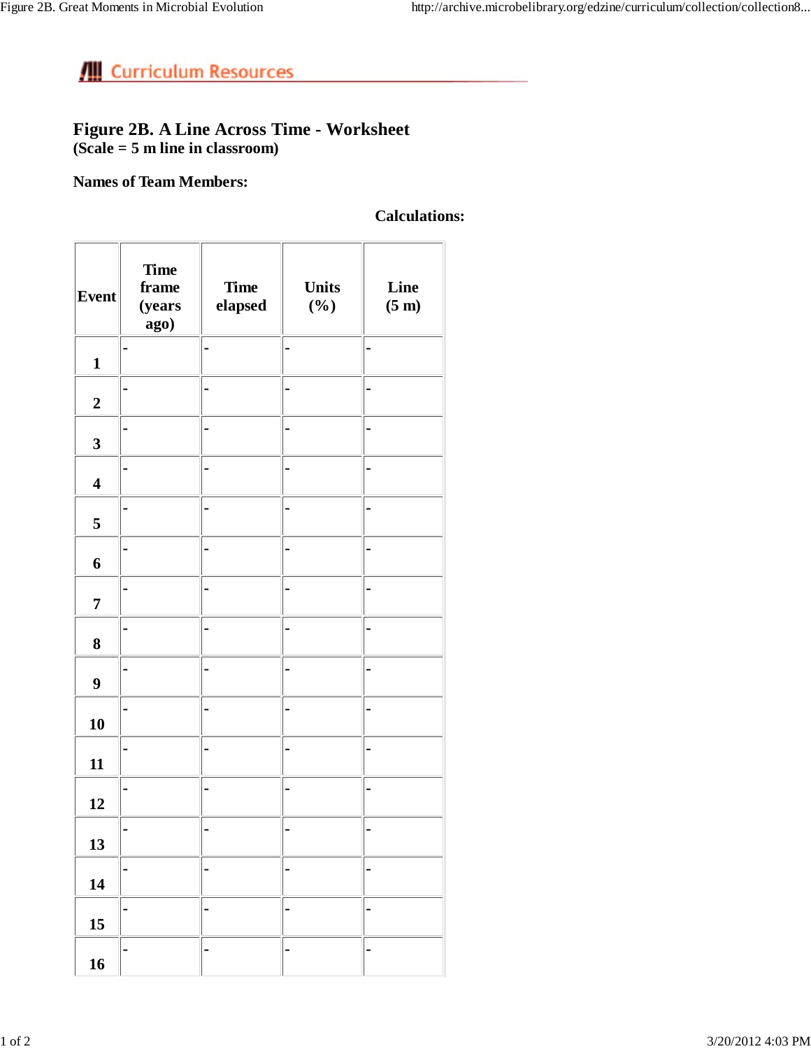### **Figure 2B. A Line Across Time - Worksheet (Scale = 5 m line in classroom)**

### **Names of Team Members:**

### **Calculations:**

| <b>Event</b>            | <b>Time</b><br>frame<br>(years<br>ago) | <b>Time</b><br>elapsed | <b>Units</b><br>$(\%)$ | Line<br>$(5 \text{ m})$ |
|-------------------------|----------------------------------------|------------------------|------------------------|-------------------------|
| $\mathbf{1}$            |                                        |                        |                        |                         |
| $\boldsymbol{2}$        |                                        |                        |                        |                         |
| $\overline{\mathbf{3}}$ |                                        |                        |                        |                         |
| $\overline{\mathbf{4}}$ |                                        |                        |                        |                         |
| 5                       |                                        |                        |                        |                         |
| 6                       |                                        |                        |                        |                         |
| $\overline{7}$          |                                        |                        |                        |                         |
| 8                       |                                        |                        |                        |                         |
| $\boldsymbol{9}$        |                                        |                        |                        |                         |
| 10                      |                                        |                        |                        |                         |
| 11                      |                                        |                        |                        |                         |
| 12                      |                                        |                        |                        |                         |
| 13                      |                                        |                        |                        |                         |
| 14                      | -                                      |                        | -                      | -                       |
| 15                      |                                        |                        |                        |                         |
| 16                      |                                        |                        |                        |                         |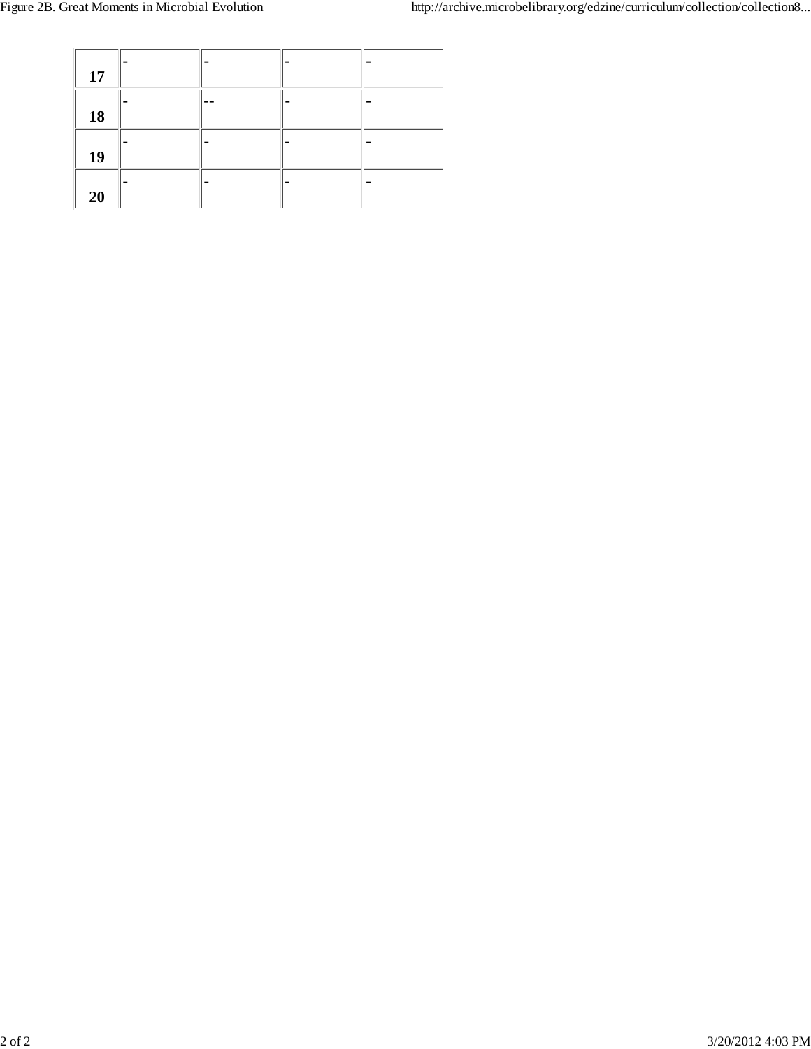| 17 |    |  |
|----|----|--|
| 18 | -- |  |
| 19 |    |  |
| 20 |    |  |

<u>and the community of the community of the community of the community of the community of the community of the community of the community of the community of the community of the community of the community of the community</u>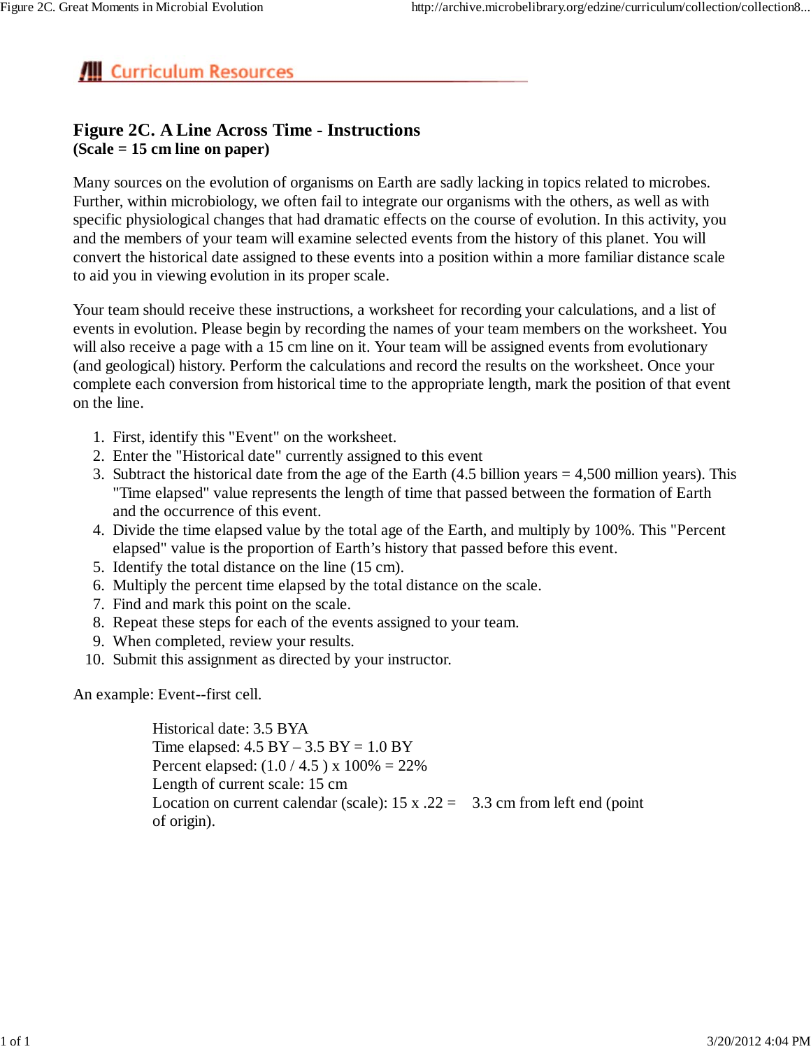### **Figure 2C. A Line Across Time - Instructions (Scale = 15 cm line on paper)**

Many sources on the evolution of organisms on Earth are sadly lacking in topics related to microbes. Further, within microbiology, we often fail to integrate our organisms with the others, as well as with specific physiological changes that had dramatic effects on the course of evolution. In this activity, you and the members of your team will examine selected events from the history of this planet. You will convert the historical date assigned to these events into a position within a more familiar distance scale to aid you in viewing evolution in its proper scale.

Your team should receive these instructions, a worksheet for recording your calculations, and a list of events in evolution. Please begin by recording the names of your team members on the worksheet. You will also receive a page with a 15 cm line on it. Your team will be assigned events from evolutionary (and geological) history. Perform the calculations and record the results on the worksheet. Once your complete each conversion from historical time to the appropriate length, mark the position of that event on the line.

- 1. First, identify this "Event" on the worksheet.
- 2. Enter the "Historical date" currently assigned to this event
- 3. Subtract the historical date from the age of the Earth  $(4.5 \text{ billion years} = 4,500 \text{ million years})$ . This "Time elapsed" value represents the length of time that passed between the formation of Earth and the occurrence of this event.
- 4. Divide the time elapsed value by the total age of the Earth, and multiply by 100%. This "Percent elapsed" value is the proportion of Earth's history that passed before this event.
- 5. Identify the total distance on the line (15 cm).
- 6. Multiply the percent time elapsed by the total distance on the scale.
- 7. Find and mark this point on the scale.
- 8. Repeat these steps for each of the events assigned to your team.
- 9. When completed, review your results.
- 10. Submit this assignment as directed by your instructor.

An example: Event--first cell.

Historical date: 3.5 BYA Time elapsed:  $4.5$  BY  $- 3.5$  BY  $= 1.0$  BY Percent elapsed:  $(1.0 / 4.5)$  x  $100\% = 22\%$ Length of current scale: 15 cm Location on current calendar (scale):  $15 \times .22 = 3.3$  cm from left end (point of origin).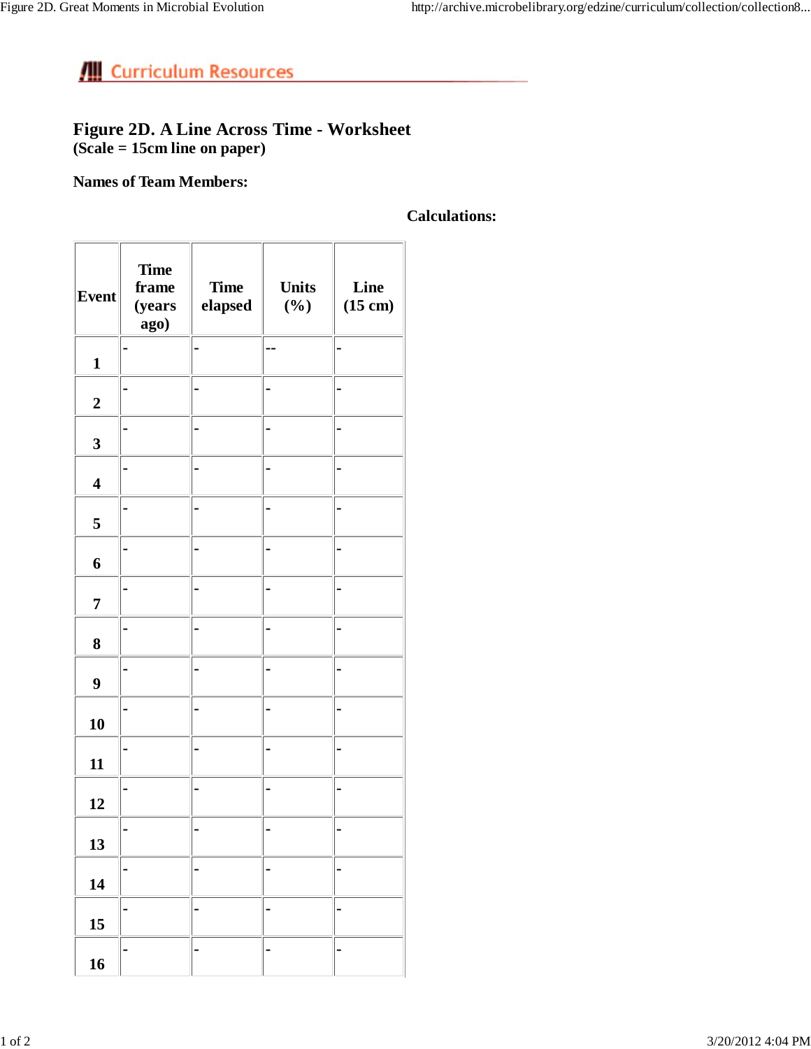### **Figure 2D. A Line Across Time - Worksheet (Scale = 15cm line on paper)**

### **Names of Team Members:**

### **Calculations:**

| <b>Event</b>            | <b>Time</b><br>frame<br>(years<br>ago) | <b>Time</b><br>elapsed | <b>Units</b><br>$(\%)$ | Line<br>$(15 \text{ cm})$ |
|-------------------------|----------------------------------------|------------------------|------------------------|---------------------------|
| $\mathbf{1}$            |                                        |                        |                        |                           |
| $\overline{2}$          |                                        |                        |                        |                           |
| $\overline{\mathbf{3}}$ |                                        |                        |                        |                           |
| $\overline{\mathbf{4}}$ |                                        |                        |                        |                           |
| $\mathbf 5$             |                                        |                        |                        |                           |
| 6                       |                                        |                        |                        |                           |
| $\overline{\mathbf{7}}$ |                                        |                        |                        |                           |
| 8                       |                                        |                        |                        |                           |
| $\boldsymbol{9}$        |                                        |                        |                        |                           |
| 10                      |                                        |                        |                        |                           |
| 11                      |                                        |                        |                        |                           |
| 12                      |                                        |                        |                        |                           |
| 13                      |                                        |                        |                        |                           |
| 14                      |                                        |                        |                        |                           |
| 15                      |                                        |                        |                        |                           |
| 16                      |                                        |                        |                        |                           |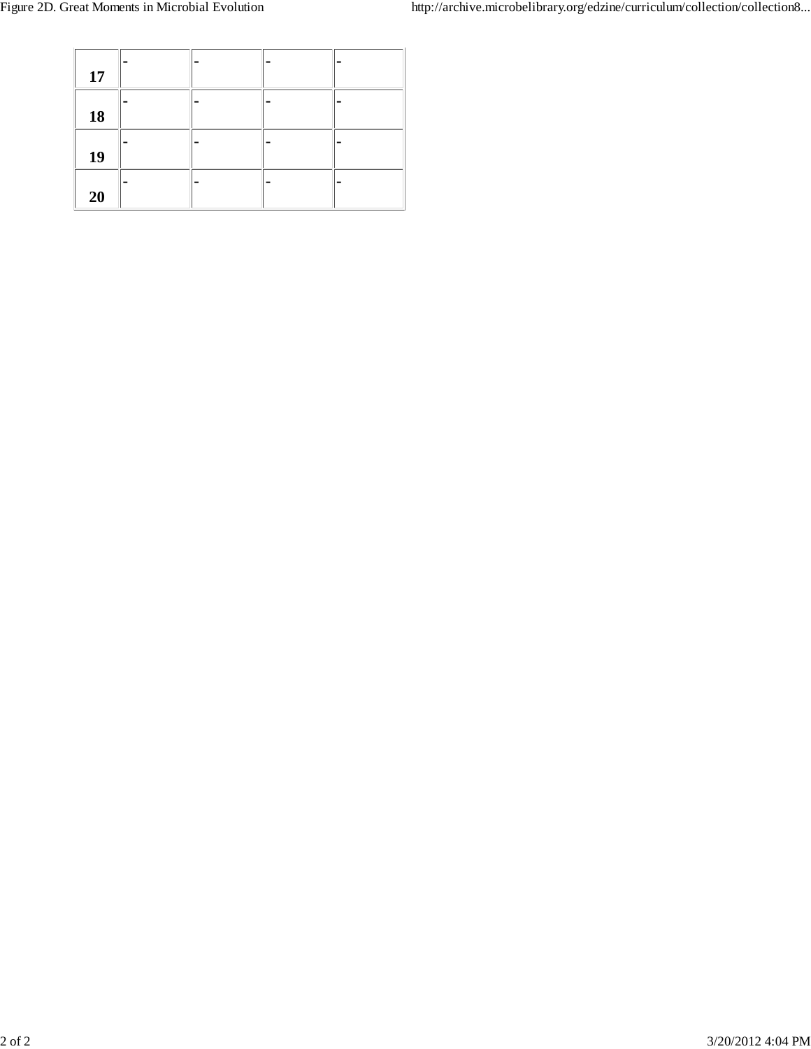| 17 |  |  |
|----|--|--|
| 18 |  |  |
| 19 |  |  |
| 20 |  |  |

<u> 1990 - Jan Albert Barbara, mana</u>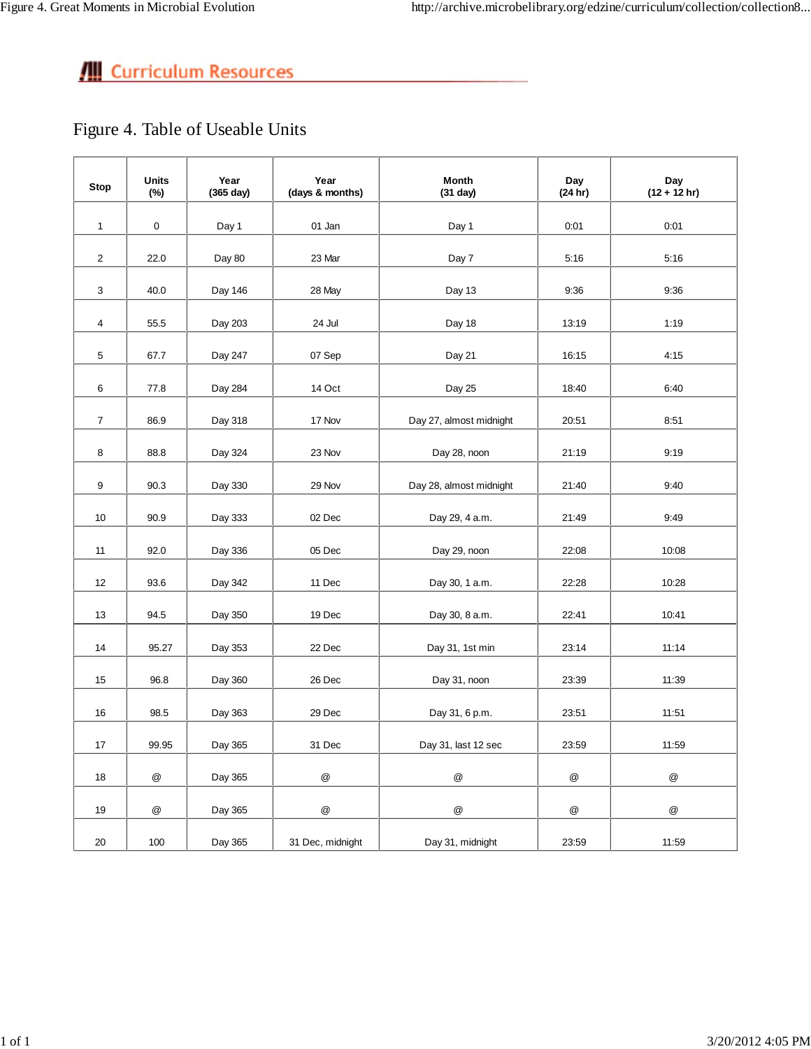Figure 4. Table of Useable Units

| <b>Stop</b>    | <b>Units</b><br>(%) | Year<br>(365 day) | Year<br>(days & months) | <b>Month</b><br>(31 day) | Day<br>(24 hr) | Day<br>$(12 + 12 hr)$ |
|----------------|---------------------|-------------------|-------------------------|--------------------------|----------------|-----------------------|
| $\mathbf{1}$   | 0                   | Day 1             | 01 Jan                  | Day 1                    | 0:01           | 0:01                  |
| $\overline{2}$ | 22.0                | Day 80            | 23 Mar                  | Day 7                    | 5:16           | 5:16                  |
| 3              | 40.0                | Day 146           | 28 May                  | Day 13                   | 9:36           | 9:36                  |
| $\overline{4}$ | 55.5                | Day 203           | 24 Jul                  | Day 18                   | 13:19          | 1:19                  |
| 5              | 67.7                | Day 247           | 07 Sep                  | Day 21                   | 16:15          | 4:15                  |
| 6              | 77.8                | Day 284           | 14 Oct                  | Day 25                   | 18:40          | 6:40                  |
| $\overline{7}$ | 86.9                | Day 318           | 17 Nov                  | Day 27, almost midnight  | 20:51          | 8:51                  |
| 8              | 88.8                | Day 324           | 23 Nov                  | Day 28, noon             | 21:19          | 9:19                  |
| 9              | 90.3                | Day 330           | 29 Nov                  | Day 28, almost midnight  | 21:40          | 9:40                  |
| 10             | 90.9                | Day 333           | 02 Dec                  | Day 29, 4 a.m.           | 21:49          | 9:49                  |
| 11             | 92.0                | Day 336           | 05 Dec                  | Day 29, noon             | 22:08          | 10:08                 |
| 12             | 93.6                | Day 342           | 11 Dec                  | Day 30, 1 a.m.           | 22:28          | 10:28                 |
| 13             | 94.5                | Day 350           | 19 Dec                  | Day 30, 8 a.m.           | 22:41          | 10:41                 |
| 14             | 95.27               | Day 353           | 22 Dec                  | Day 31, 1st min          | 23:14          | 11:14                 |
| 15             | 96.8                | Day 360           | 26 Dec                  | Day 31, noon             | 23:39          | 11:39                 |
| 16             | 98.5                | Day 363           | 29 Dec                  | Day 31, 6 p.m.           | 23:51          | 11:51                 |
| 17             | 99.95               | Day 365           | 31 Dec                  | Day 31, last 12 sec      | 23:59          | 11:59                 |
| 18             | $^\circledR$        | Day 365           | $^{\copyright}$         | $^\circledR$             | @              | @                     |
| 19             | @                   | Day 365           | $^\copyright$           | $^\copyright$            | @              | $^\copyright$         |
| 20             | 100                 | Day 365           | 31 Dec, midnight        | Day 31, midnight         | 23:59          | 11:59                 |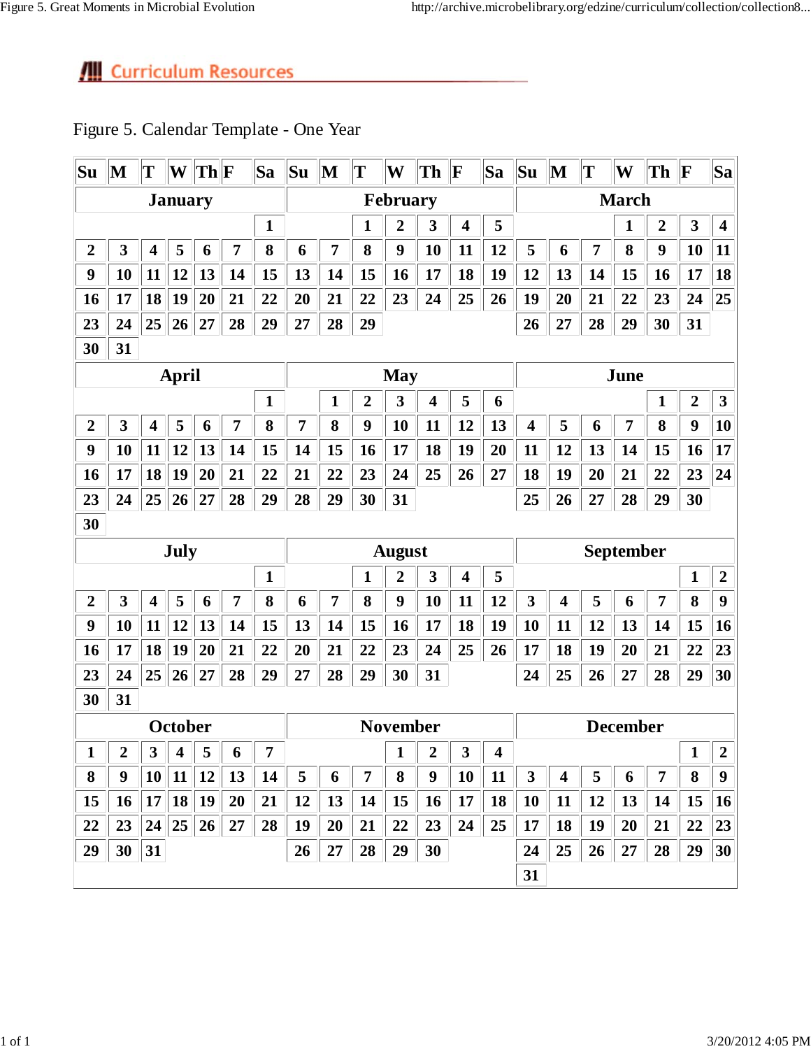| Su             | $\bf M$        | T                       | W              | $  \mathbf{Th}  \mathbf{F}$ |                                                 | Sa           | $ S_{\mathbf{u}} $ | $\mathbf M$     | $ \mathbf{T} $ | W                | Th                      | $ {\bf F} $             | <b>Sa</b>                   | Su                      | $\mathbf M$             | T              | W               | Th             | $ {\bf F} $             | $ \mathbf{S}\mathbf{a} $ |
|----------------|----------------|-------------------------|----------------|-----------------------------|-------------------------------------------------|--------------|--------------------|-----------------|----------------|------------------|-------------------------|-------------------------|-----------------------------|-------------------------|-------------------------|----------------|-----------------|----------------|-------------------------|--------------------------|
|                | <b>January</b> |                         |                |                             |                                                 |              |                    | <b>February</b> |                |                  |                         |                         |                             | <b>March</b>            |                         |                |                 |                |                         |                          |
|                |                |                         |                |                             |                                                 | $\mathbf{1}$ |                    |                 |                | $\overline{2}$   | 3                       | $\overline{\mathbf{4}}$ | 5                           |                         |                         |                | 1               | $\overline{2}$ | 3                       | $\overline{\mathbf{4}}$  |
| $\overline{2}$ | 3              | $\overline{\mathbf{4}}$ | 5              | 6                           | 7                                               | 8            | 6                  | 7               | 8              | 9                | 10                      | 11                      | 12                          | 5                       | 6                       | $\overline{7}$ | 8               | 9              | 10                      | 11                       |
| 9              | 10             | 11                      | 12             | 13                          | 14                                              | 15           | 13                 | 14              | 15             | 16               | 17                      | 18                      | 19                          | 12                      | 13                      | 14             | 15              | 16             | 17                      | 18                       |
| 16             | 17             | 18                      | 19             | 20                          | 21                                              | 22           | 20                 | 21              | 22             | 23               | 24                      | 25                      | 26                          | 19                      | 20                      | 21             | 22              | 23             | 24                      | $ 25\rangle$             |
| 23             | 24             | 25                      | 26             | 27                          | 28                                              | 29           | 27                 | 28              | 29             |                  |                         |                         |                             | 26                      | 27                      | 28             | 29              | 30             | 31                      |                          |
| 30             | 31             |                         |                |                             |                                                 |              |                    |                 |                |                  |                         |                         |                             |                         |                         |                |                 |                |                         |                          |
|                | <b>April</b>   |                         |                |                             |                                                 |              |                    |                 | <b>May</b>     |                  |                         |                         |                             |                         |                         | June           |                 |                |                         |                          |
|                |                |                         |                |                             |                                                 | 1            |                    | 1               | $\overline{2}$ | 3                | 4                       | 5                       | 6                           |                         |                         |                |                 | 1              | $\boldsymbol{2}$        | $\mathbf{3}$             |
| $\overline{2}$ | 3              | 4                       | 5              | 6                           | 7                                               | 8            | 7                  | 8               | 9              | 10               | 11                      | 12                      | 13                          | $\overline{\mathbf{4}}$ | 5                       | 6              | $\overline{7}$  | 8              | 9                       | 10                       |
| 9              | 10             | 11                      | 12             | 13                          | 14                                              | 15           | 14                 | 15              | 16             | 17               | 18                      | 19                      | 20                          | 11                      | 12                      | 13             | 14              | 15             | 16                      | 17                       |
| 16             | 17             | 18                      | 19             | 20                          | 21                                              | 22           | 21                 | 22              | 23             | 24               | 25                      | 26                      | 27                          | 18                      | 19                      | 20             | 21              | 22             | 23                      | 24                       |
| 23             | 24             | 25                      | 26             | 27                          | 28                                              | 29           | 28                 | 29              | 30             | 31               |                         |                         |                             | 25                      | 26                      | 27             | 28              | 29             | 30                      |                          |
| 30             |                |                         |                |                             |                                                 |              |                    |                 |                |                  |                         |                         |                             |                         |                         |                |                 |                |                         |                          |
|                |                |                         | July           |                             |                                                 |              |                    | <b>August</b>   |                |                  |                         |                         |                             |                         |                         | September      |                 |                |                         |                          |
|                | 1              |                         |                |                             |                                                 |              |                    | 1               | $\overline{2}$ | 3                | $\overline{\mathbf{4}}$ | 5                       |                             |                         |                         |                |                 | $\mathbf{1}$   | $\overline{2}$          |                          |
| $\overline{2}$ | 3              | 4                       | 5              | 6                           | 7                                               | 8            | 6                  | 7               | 8              | $\boldsymbol{9}$ | 10                      | 11                      | 12                          | 3                       | $\overline{\mathbf{4}}$ | 5              | 6               | 7              | 8                       | 9                        |
| 9              | 10             | 11                      | 12             | 13                          | 14                                              | 15           | 13                 | 14              | 15             | 16               | 17                      | 18                      | 19                          | 10                      | 11                      | 12             | 13              | 14             | 15                      | 16                       |
| 16             | 17             | 18                      | 19             | 20                          | 21                                              | 22           | 20                 | 21              | 22             | 23               | 24                      | 25                      | 26                          | 17                      | 18                      | 19             | 20              | 21             | 22                      | 23                       |
| 23             | 24             | 25                      | 26             | 27                          | 28                                              | 29           | 27                 | 28              | 29             | 30               | 31                      |                         |                             | 24                      | 25                      | 26             | 27              | 28             | 29                      | 30                       |
| 30             | 31             |                         |                |                             |                                                 |              |                    |                 |                |                  |                         |                         |                             |                         |                         |                |                 |                |                         |                          |
|                |                |                         | October        |                             |                                                 |              |                    |                 |                | <b>November</b>  |                         |                         |                             |                         |                         |                | <b>December</b> |                |                         |                          |
| $\overline{1}$ | $\overline{2}$ | 3                       |                |                             | $\boxed{4}$ $\boxed{5}$ $\boxed{6}$ $\boxed{7}$ |              |                    |                 |                | $\vert 1 \vert$  |                         |                         | $2 \parallel 3 \parallel 4$ |                         |                         |                |                 |                | $\boxed{1}$ $\boxed{2}$ |                          |
| 8              | 9              | 10                      |                | $11 \,   \, 12$             | 13                                              | 14           | 5                  | 6               | 7              | $\bf{8}$         | $\boldsymbol{9}$        | 10                      | 11                          | $\mathbf{3}$            | $\overline{\mathbf{4}}$ | 5              | 6               | 7              | 8                       | $\boldsymbol{9}$         |
| 15             | <b>16</b>      |                         | $\ 17\ 18\ 19$ |                             | 20                                              | 21           | 12                 | 13              | 14             | 15               | 16                      | <b>17</b>               | 18                          | <b>10</b>               | 11                      | 12             | 13              | 14             | 15                      | <b>16</b>                |
| 22             | 23             |                         |                | 24 25 26                    | 27                                              | 28           | 19                 | 20              | 21             | 22               | 23                      | 24                      | 25                          | 17                      | 18                      | 19             | 20              | 21             | 22                      | 23                       |
| 29             | 30             | 31                      |                |                             |                                                 |              | 26                 | 27              | 28             | 29               | 30                      |                         |                             | 24                      | 25                      | 26             | 27              | 28             | 29                      | 30                       |
|                |                |                         |                |                             |                                                 |              |                    |                 |                |                  |                         |                         |                             | 31                      |                         |                |                 |                |                         |                          |

### Figure 5. Calendar Template - One Year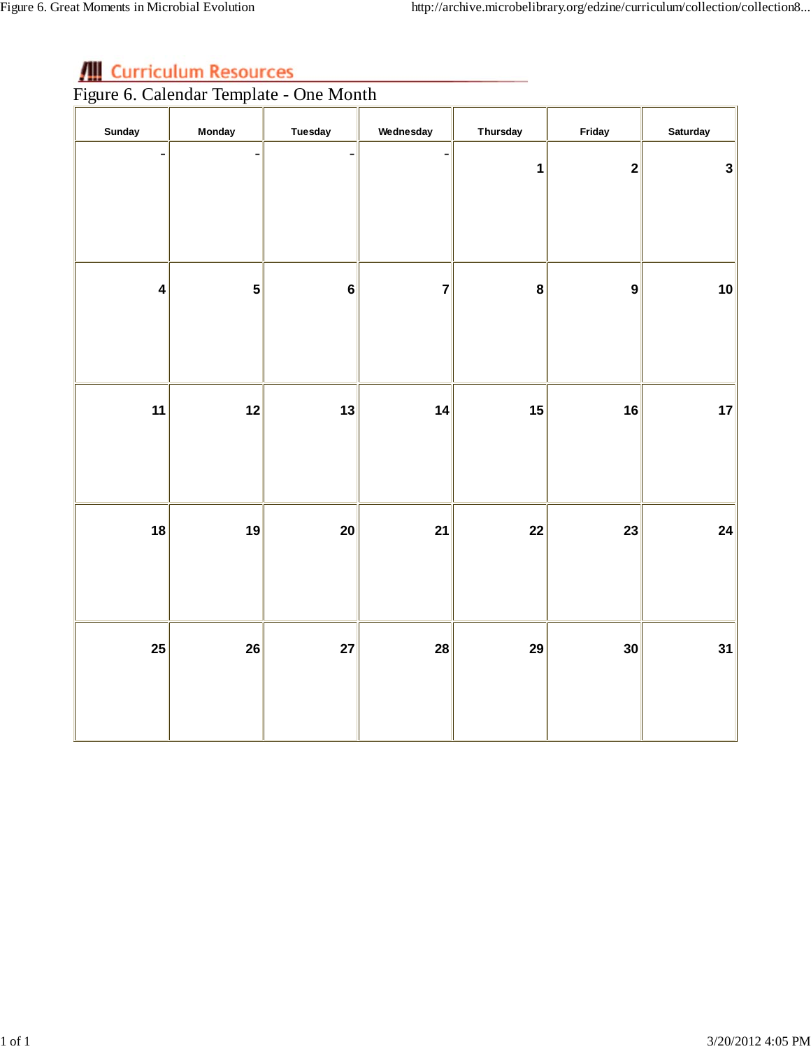**Figure 6. Calendar Template - One Month** 

| Sunday                  | <b>Monday</b>           | <b>Tuesday</b>    | Wednesday         | <b>Thursday</b> | Friday           | <b>Saturday</b> |
|-------------------------|-------------------------|-------------------|-------------------|-----------------|------------------|-----------------|
| $\overline{a}$          | $\qquad \qquad -$       | $\qquad \qquad -$ | $\qquad \qquad -$ | $\mathbf{1}$    | $\mathbf{2}$     | $\mathbf{3}$    |
| $\overline{\mathbf{4}}$ | $\overline{\mathbf{5}}$ | 6                 | $\overline{7}$    | 8               | $\boldsymbol{9}$ | 10              |
| 11                      | 12                      | 13                | 14                | 15              | 16               | 17              |
| 18                      | 19                      | 20                | 21                | 22              | 23               | 24              |
| 25                      | 26                      | 27                | 28                | 29              | 30               | 31              |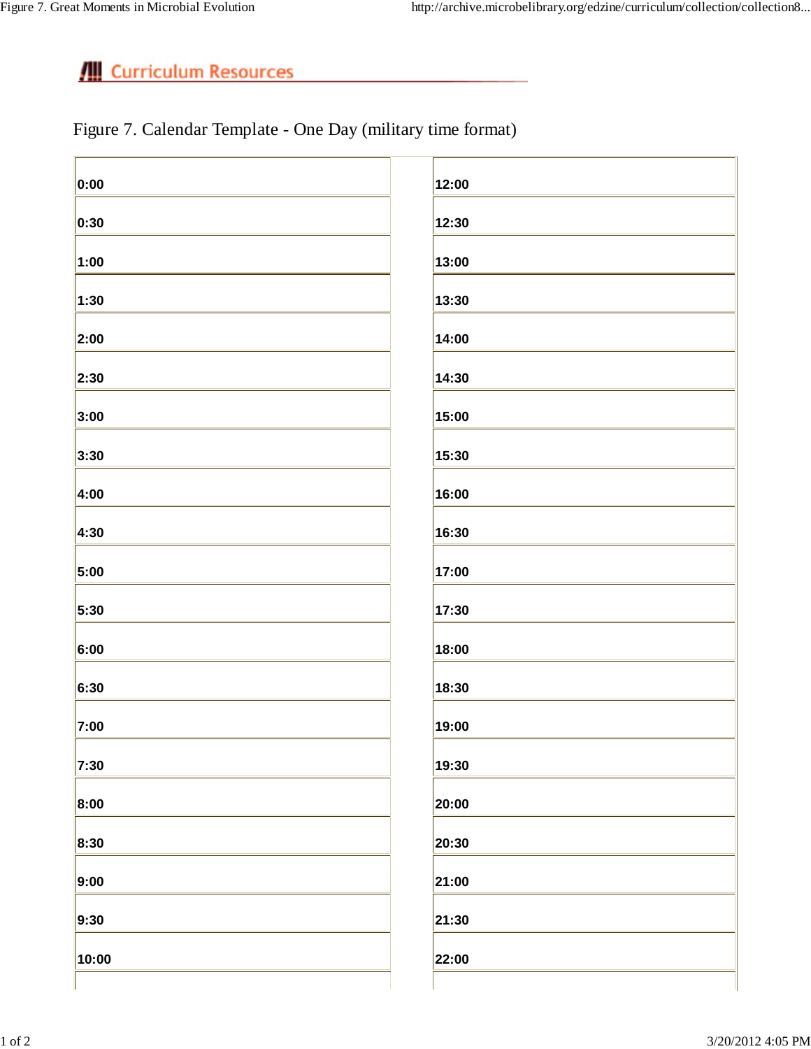### Figure 7. Calendar Template - One Day (military time format)

| 0:00  | 12:00 |
|-------|-------|
| 0:30  | 12:30 |
| 1:00  | 13:00 |
| 1:30  | 13:30 |
| 2:00  | 14:00 |
| 2:30  | 14:30 |
| 3:00  | 15:00 |
| 3:30  | 15:30 |
| 4:00  | 16:00 |
| 4:30  | 16:30 |
| 5:00  | 17:00 |
| 5:30  | 17:30 |
| 6:00  | 18:00 |
| 6:30  | 18:30 |
| 7:00  | 19:00 |
| 7:30  | 19:30 |
| 8:00  | 20:00 |
| 8:30  | 20:30 |
| 9:00  | 21:00 |
| 9:30  | 21:30 |
| 10:00 | 22:00 |
|       |       |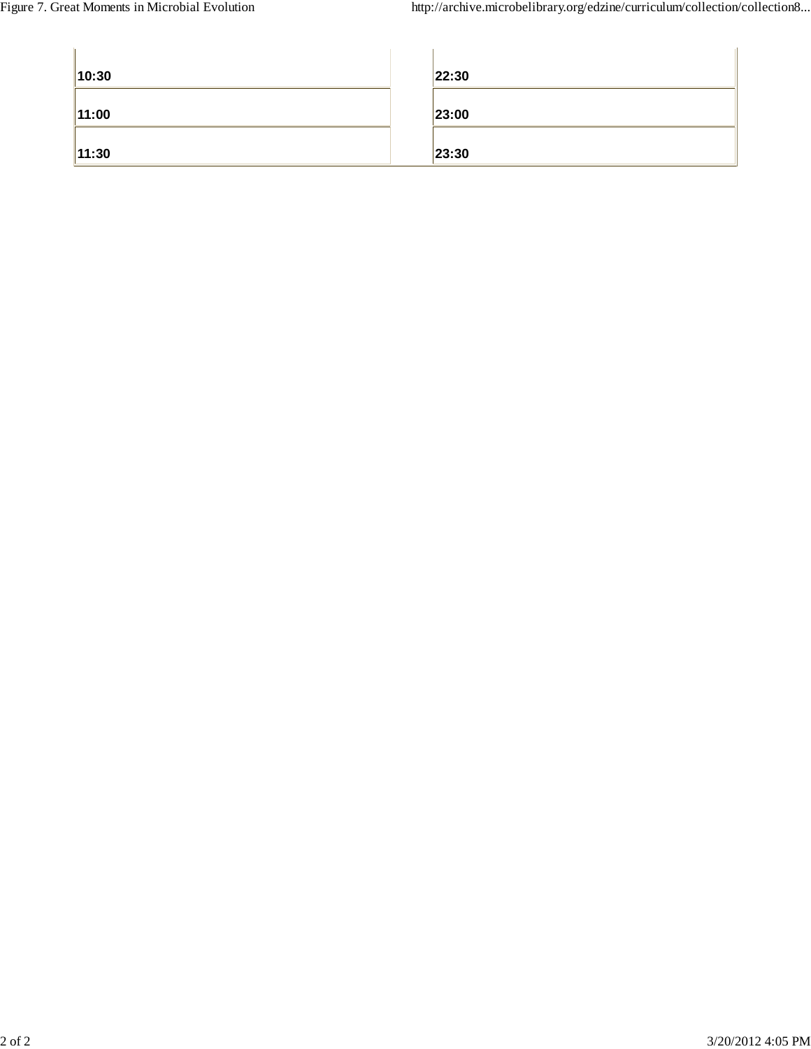| 10:30 | 22:30 |
|-------|-------|
| 11:00 | 23:00 |
| 11:30 | 23:30 |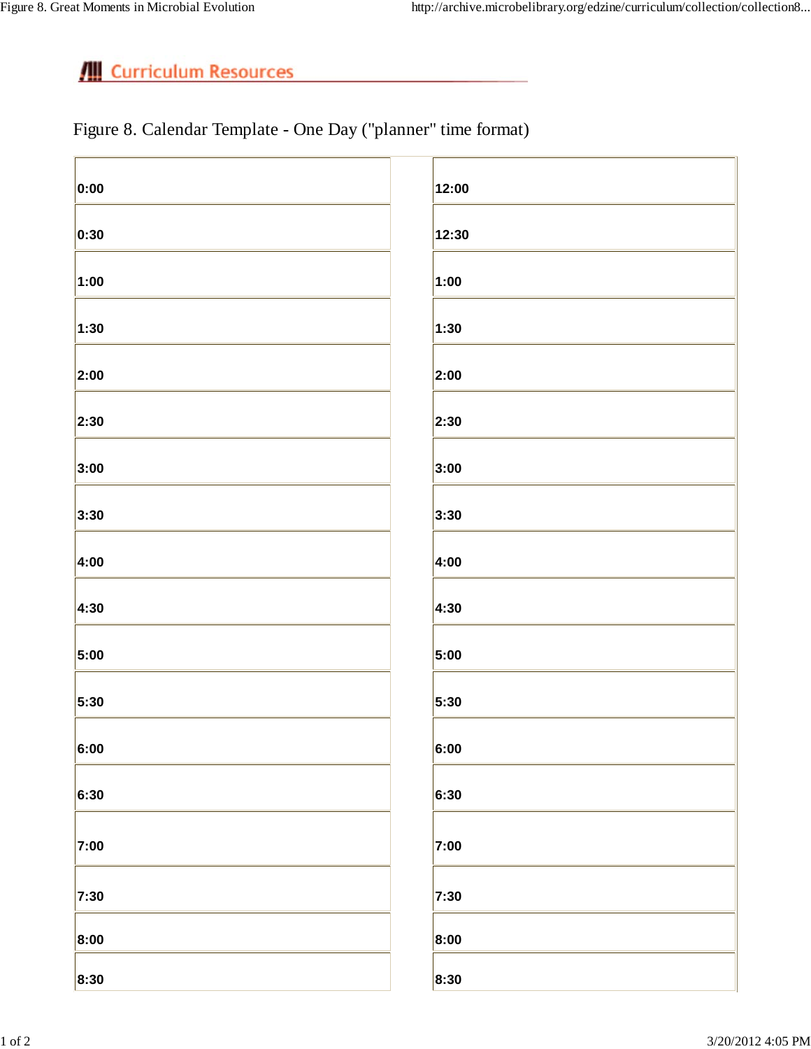Figure 8. Calendar Template - One Day ("planner" time format)

| 0:00               | 12:00 |
|--------------------|-------|
| 0:30               | 12:30 |
| 1:00               | 1:00  |
| 1:30               | 1:30  |
| 2:00               | 2:00  |
| 2:30               | 2:30  |
| 3:00               | 3:00  |
| 3:30               | 3:30  |
| 4:00               | 4:00  |
| 4:30               | 4:30  |
| 5:00               | 5:00  |
| 5:30               | 5:30  |
| $\vert 6:00 \vert$ | 6:00  |
| 6:30               | 6:30  |
| 7:00               | 7:00  |
| 7:30               | 7:30  |
| 8:00               | 8:00  |
| 8:30               | 8:30  |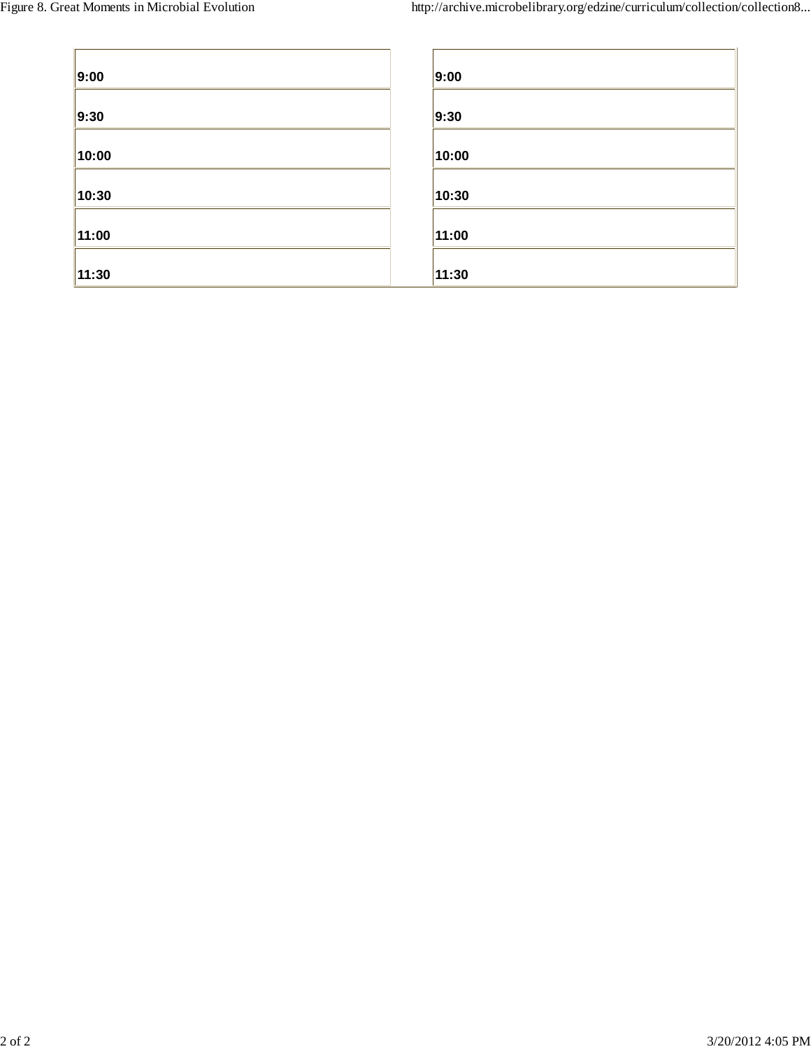| 9:00  | 9:00  |
|-------|-------|
| 9:30  | 9:30  |
| 10:00 | 10:00 |
| 10:30 | 10:30 |
| 11:00 | 11:00 |
| 11:30 | 11:30 |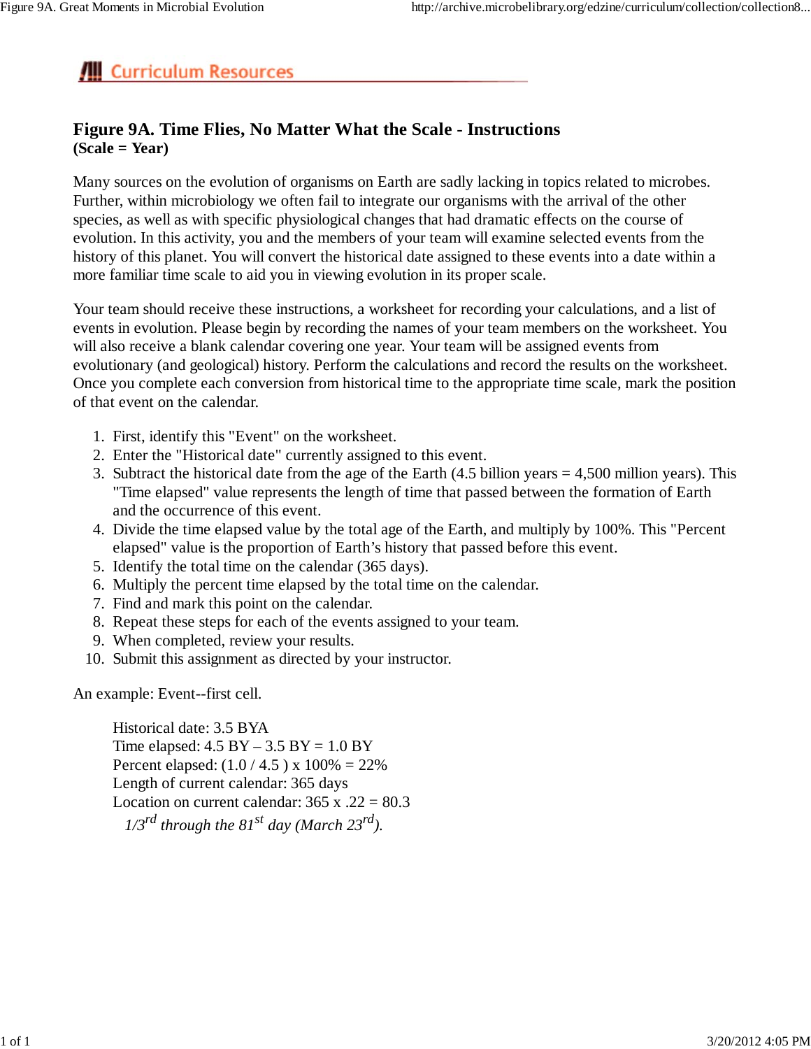### **Figure 9A. Time Flies, No Matter What the Scale - Instructions (Scale = Year)**

Many sources on the evolution of organisms on Earth are sadly lacking in topics related to microbes. Further, within microbiology we often fail to integrate our organisms with the arrival of the other species, as well as with specific physiological changes that had dramatic effects on the course of evolution. In this activity, you and the members of your team will examine selected events from the history of this planet. You will convert the historical date assigned to these events into a date within a more familiar time scale to aid you in viewing evolution in its proper scale.

Your team should receive these instructions, a worksheet for recording your calculations, and a list of events in evolution. Please begin by recording the names of your team members on the worksheet. You will also receive a blank calendar covering one year. Your team will be assigned events from evolutionary (and geological) history. Perform the calculations and record the results on the worksheet. Once you complete each conversion from historical time to the appropriate time scale, mark the position of that event on the calendar.

- 1. First, identify this "Event" on the worksheet.
- 2. Enter the "Historical date" currently assigned to this event.
- 3. Subtract the historical date from the age of the Earth  $(4.5 \text{ billion years} = 4,500 \text{ million years})$ . This "Time elapsed" value represents the length of time that passed between the formation of Earth and the occurrence of this event.
- 4. Divide the time elapsed value by the total age of the Earth, and multiply by 100%. This "Percent elapsed" value is the proportion of Earth's history that passed before this event.
- 5. Identify the total time on the calendar (365 days).
- 6. Multiply the percent time elapsed by the total time on the calendar.
- 7. Find and mark this point on the calendar.
- 8. Repeat these steps for each of the events assigned to your team.
- 9. When completed, review your results.
- 10. Submit this assignment as directed by your instructor.

An example: Event--first cell.

Historical date: 3.5 BYA Time elapsed:  $4.5$  BY  $- 3.5$  BY  $= 1.0$  BY Percent elapsed:  $(1.0 / 4.5)$  x  $100\% = 22\%$ Length of current calendar: 365 days Location on current calendar:  $365 \times .22 = 80.3$  *1/3rd through the 81st day (March 23rd).*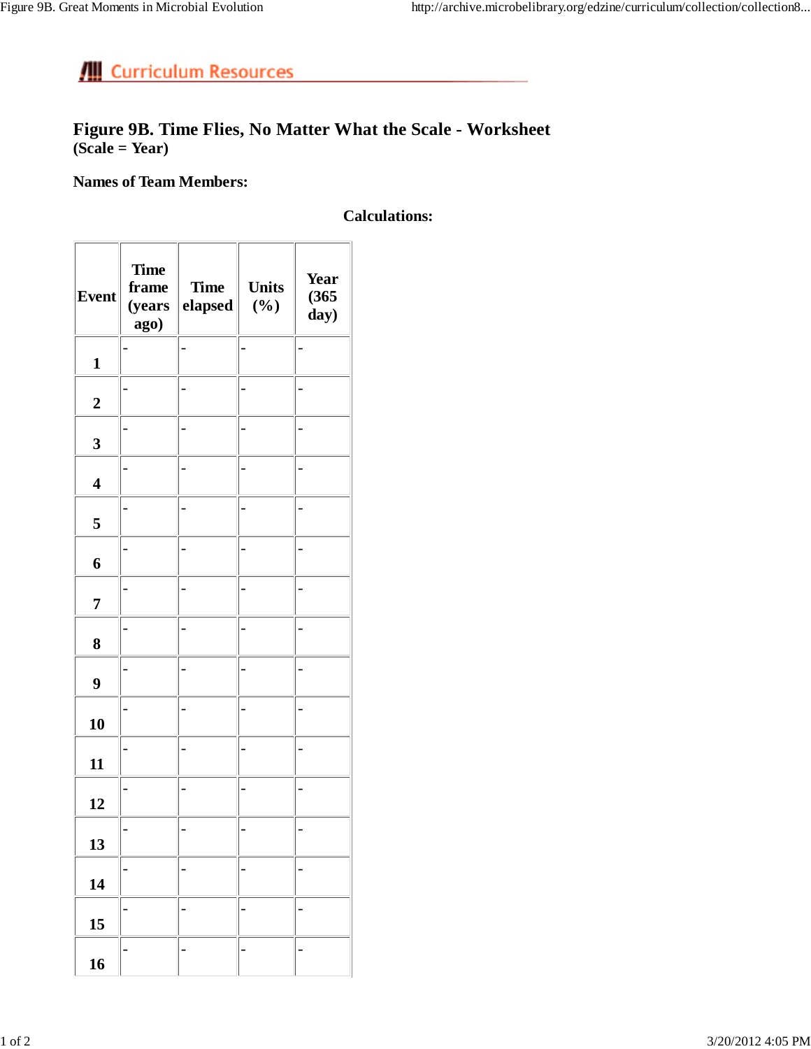### **Figure 9B. Time Flies, No Matter What the Scale - Worksheet (Scale = Year)**

### **Names of Team Members:**

### **Calculations:**

| <b>Event</b>            | <b>Time</b><br>frame<br>(years<br>ago) | <b>Time</b><br>elapsed | <b>Units</b><br>$(\%)$ | Year<br>(365)<br>day) |
|-------------------------|----------------------------------------|------------------------|------------------------|-----------------------|
| $\mathbf{1}$            |                                        |                        |                        |                       |
| $\overline{\mathbf{2}}$ |                                        |                        |                        |                       |
| $\overline{\mathbf{3}}$ |                                        |                        |                        |                       |
| $\overline{\mathbf{4}}$ |                                        |                        |                        |                       |
| 5                       |                                        |                        |                        |                       |
| 6                       |                                        |                        |                        |                       |
| $\overline{7}$          |                                        |                        |                        |                       |
| 8                       |                                        |                        |                        |                       |
| 9                       |                                        |                        |                        |                       |
| 10                      |                                        |                        |                        |                       |
| 11                      |                                        |                        |                        |                       |
| 12                      |                                        |                        |                        |                       |
| 13                      |                                        |                        |                        |                       |
| 14                      |                                        |                        |                        |                       |
| 15                      |                                        |                        |                        |                       |
| 16                      |                                        |                        |                        |                       |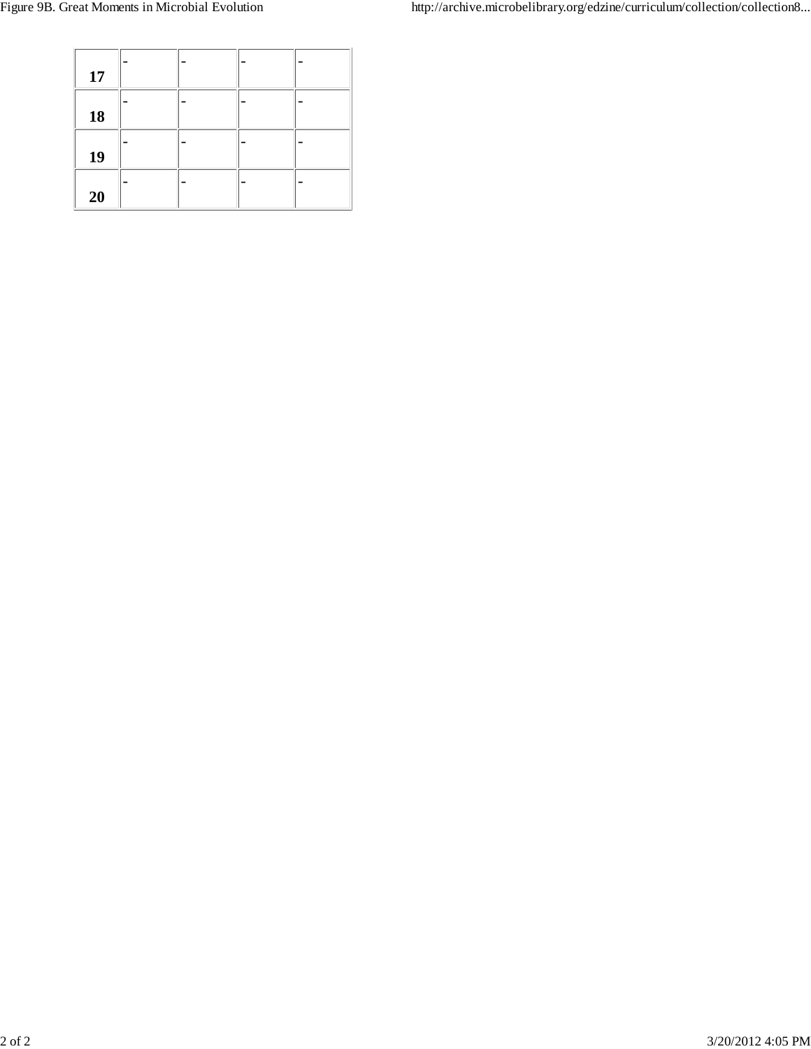| 17 |  |  |
|----|--|--|
| 18 |  |  |
| 19 |  |  |
| 20 |  |  |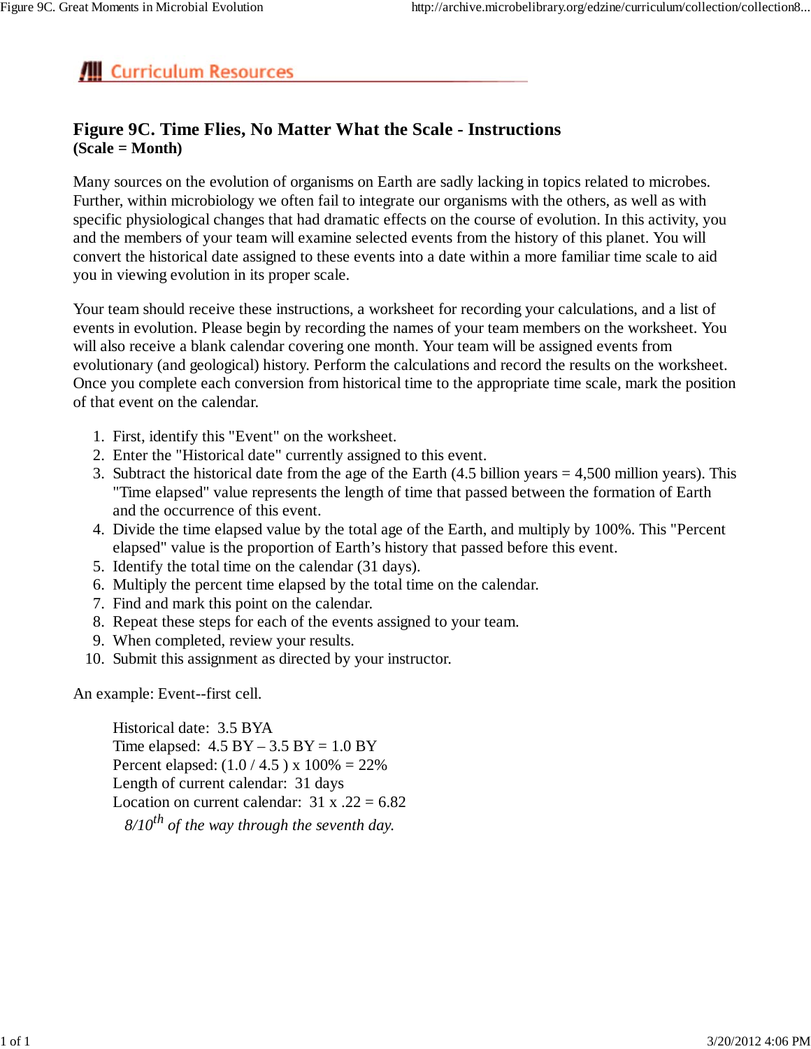### **Figure 9C. Time Flies, No Matter What the Scale - Instructions (Scale = Month)**

Many sources on the evolution of organisms on Earth are sadly lacking in topics related to microbes. Further, within microbiology we often fail to integrate our organisms with the others, as well as with specific physiological changes that had dramatic effects on the course of evolution. In this activity, you and the members of your team will examine selected events from the history of this planet. You will convert the historical date assigned to these events into a date within a more familiar time scale to aid you in viewing evolution in its proper scale.

Your team should receive these instructions, a worksheet for recording your calculations, and a list of events in evolution. Please begin by recording the names of your team members on the worksheet. You will also receive a blank calendar covering one month. Your team will be assigned events from evolutionary (and geological) history. Perform the calculations and record the results on the worksheet. Once you complete each conversion from historical time to the appropriate time scale, mark the position of that event on the calendar.

- 1. First, identify this "Event" on the worksheet.
- 2. Enter the "Historical date" currently assigned to this event.
- 3. Subtract the historical date from the age of the Earth  $(4.5 \text{ billion years} = 4,500 \text{ million years})$ . This "Time elapsed" value represents the length of time that passed between the formation of Earth and the occurrence of this event.
- 4. Divide the time elapsed value by the total age of the Earth, and multiply by 100%. This "Percent elapsed" value is the proportion of Earth's history that passed before this event.
- 5. Identify the total time on the calendar (31 days).
- 6. Multiply the percent time elapsed by the total time on the calendar.
- 7. Find and mark this point on the calendar.
- 8. Repeat these steps for each of the events assigned to your team.
- 9. When completed, review your results.
- 10. Submit this assignment as directed by your instructor.

An example: Event--first cell.

Historical date: 3.5 BYA Time elapsed:  $4.5 \text{ BY} - 3.5 \text{ BY} = 1.0 \text{ BY}$ Percent elapsed:  $(1.0 / 4.5)$  x  $100\% = 22\%$ Length of current calendar: 31 days Location on current calendar:  $31 \times .22 = 6.82$  $8/10^{th}$  of the way through the seventh day.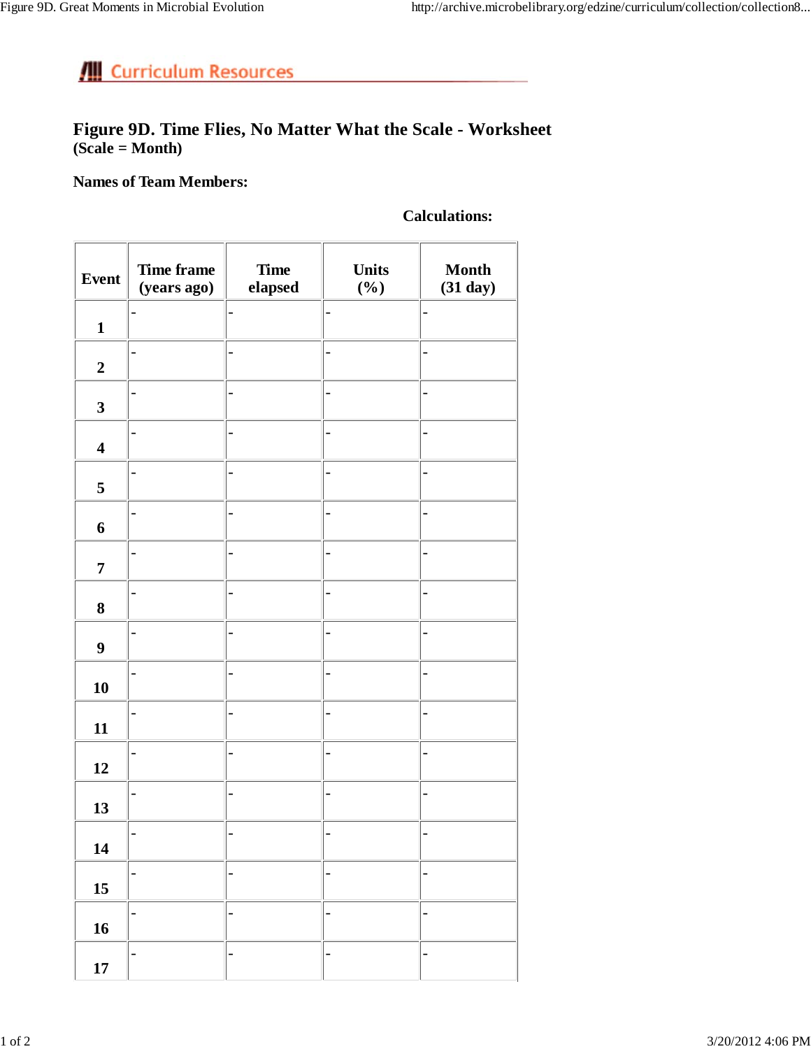### **Figure 9D. Time Flies, No Matter What the Scale - Worksheet (Scale = Month)**

**Names of Team Members:**

### **Calculations:**

| <b>Event</b>            | <b>Time frame</b><br>(years ago) | <b>Time</b><br>elapsed | <b>Units</b><br>$(\%)$   | <b>Month</b><br>(31 day) |
|-------------------------|----------------------------------|------------------------|--------------------------|--------------------------|
| $\mathbf{1}$            |                                  |                        |                          |                          |
| $\boldsymbol{2}$        |                                  |                        | -                        |                          |
| $\mathbf{3}$            |                                  |                        |                          |                          |
| $\overline{\mathbf{4}}$ |                                  |                        | $\overline{a}$           |                          |
| 5                       |                                  |                        | $\overline{a}$           |                          |
| 6                       |                                  | -                      | -                        |                          |
| $\overline{7}$          |                                  |                        | -                        |                          |
| $\bf 8$                 |                                  |                        | -                        |                          |
| $\boldsymbol{9}$        |                                  |                        | $\overline{a}$           |                          |
| 10                      |                                  |                        | $\overline{a}$           |                          |
| 11                      |                                  |                        | -                        |                          |
| 12                      |                                  |                        |                          |                          |
| 13                      |                                  |                        |                          |                          |
| 14                      |                                  |                        |                          |                          |
| $15\,$                  | -                                | $\overline{a}$         | $\overline{\phantom{0}}$ |                          |
| 16                      |                                  |                        | $\overline{a}$           |                          |
| $17\,$                  |                                  |                        | $\overline{a}$           |                          |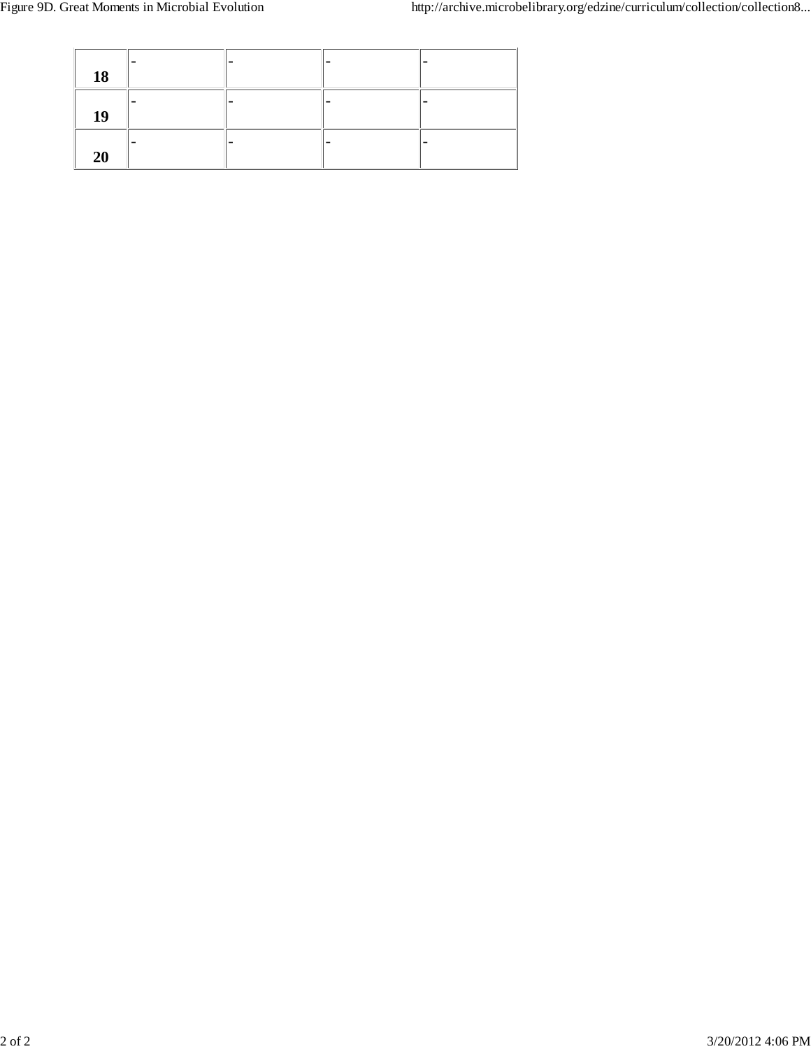| 18 |  |  |
|----|--|--|
| 19 |  |  |
| 20 |  |  |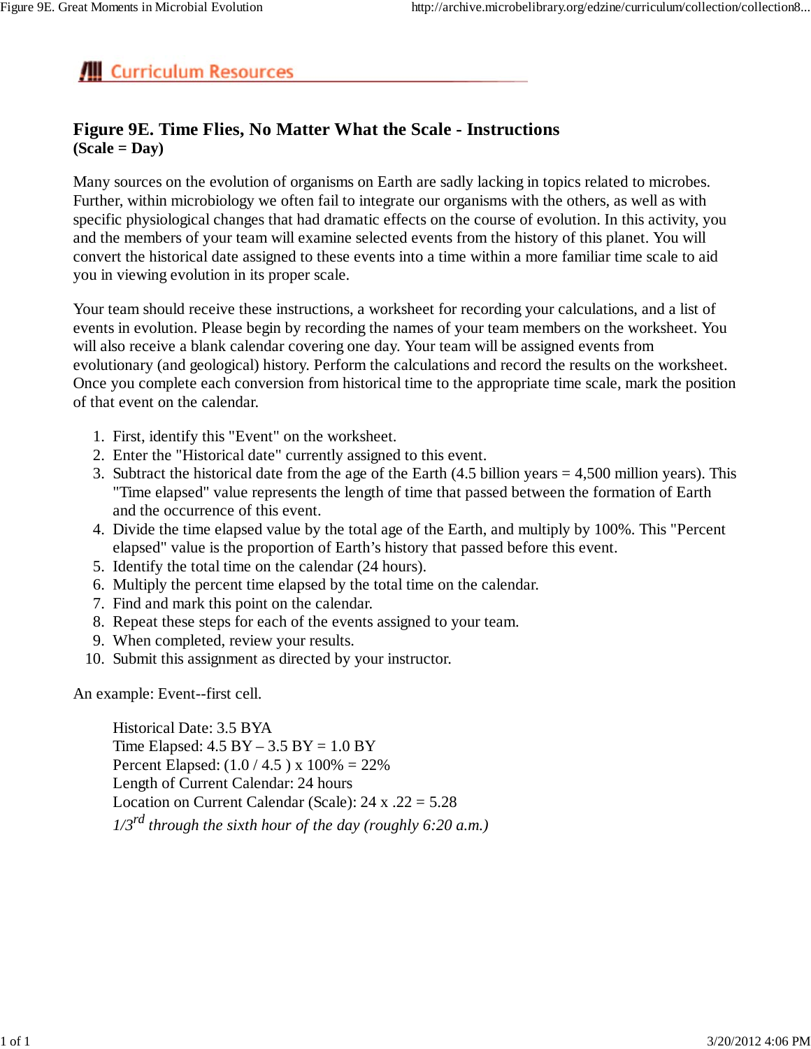### **Figure 9E. Time Flies, No Matter What the Scale - Instructions (Scale = Day)**

Many sources on the evolution of organisms on Earth are sadly lacking in topics related to microbes. Further, within microbiology we often fail to integrate our organisms with the others, as well as with specific physiological changes that had dramatic effects on the course of evolution. In this activity, you and the members of your team will examine selected events from the history of this planet. You will convert the historical date assigned to these events into a time within a more familiar time scale to aid you in viewing evolution in its proper scale.

Your team should receive these instructions, a worksheet for recording your calculations, and a list of events in evolution. Please begin by recording the names of your team members on the worksheet. You will also receive a blank calendar covering one day. Your team will be assigned events from evolutionary (and geological) history. Perform the calculations and record the results on the worksheet. Once you complete each conversion from historical time to the appropriate time scale, mark the position of that event on the calendar.

- 1. First, identify this "Event" on the worksheet.
- 2. Enter the "Historical date" currently assigned to this event.
- 3. Subtract the historical date from the age of the Earth  $(4.5 \text{ billion years} = 4,500 \text{ million years})$ . This "Time elapsed" value represents the length of time that passed between the formation of Earth and the occurrence of this event.
- 4. Divide the time elapsed value by the total age of the Earth, and multiply by 100%. This "Percent elapsed" value is the proportion of Earth's history that passed before this event.
- 5. Identify the total time on the calendar (24 hours).
- 6. Multiply the percent time elapsed by the total time on the calendar.
- 7. Find and mark this point on the calendar.
- 8. Repeat these steps for each of the events assigned to your team.
- 9. When completed, review your results.
- 10. Submit this assignment as directed by your instructor.

An example: Event--first cell.

Historical Date: 3.5 BYA Time Elapsed:  $4.5$  BY  $- 3.5$  BY  $= 1.0$  BY Percent Elapsed: (1.0 / 4.5 ) x 100% = 22% Length of Current Calendar: 24 hours Location on Current Calendar (Scale):  $24 \times .22 = 5.28$ *1/3rd through the sixth hour of the day (roughly 6:20 a.m.)*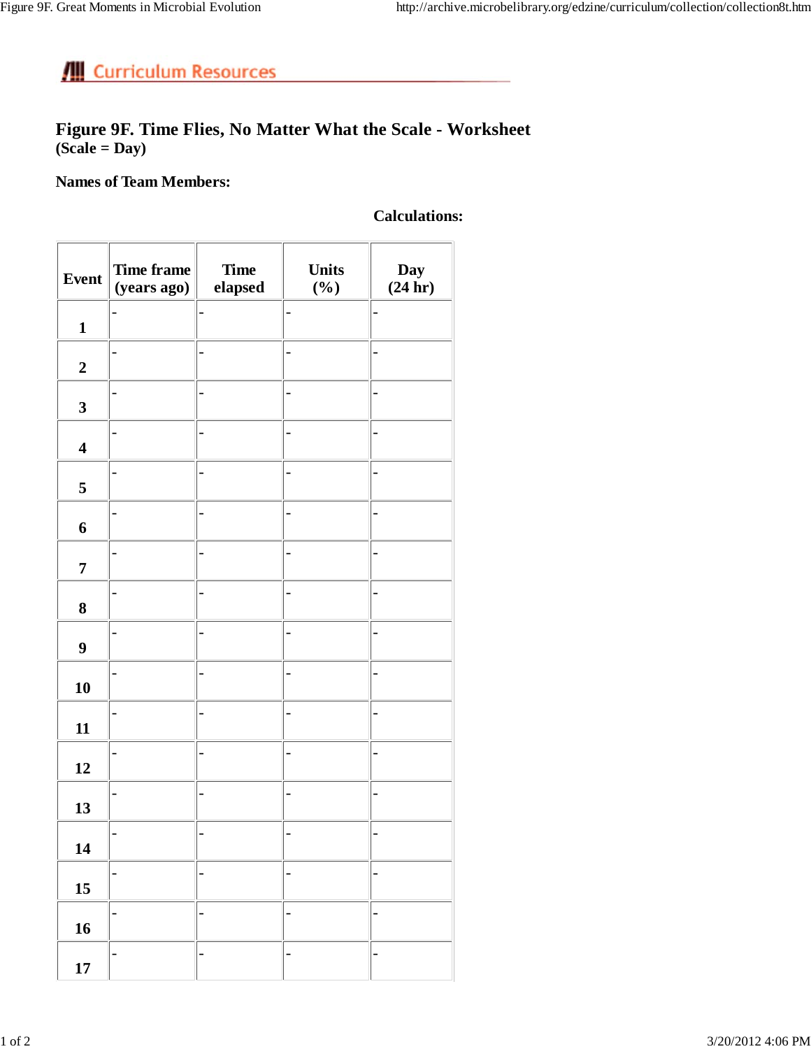### **Figure 9F. Time Flies, No Matter What the Scale - Worksheet (Scale = Day)**

### **Names of Team Members:**

### **Calculations:**

| <b>Event</b>            | Time frame<br>(years ago) | <b>Time</b><br>elapsed | <b>Units</b><br>$(\%)$ | Day<br>(24 hr) |
|-------------------------|---------------------------|------------------------|------------------------|----------------|
| $\mathbf{1}$            |                           |                        |                        |                |
| $\boldsymbol{2}$        |                           |                        |                        |                |
| $\mathbf{3}$            |                           |                        |                        |                |
| $\overline{\mathbf{4}}$ |                           |                        |                        |                |
| 5                       |                           |                        |                        |                |
| 6                       |                           |                        |                        |                |
| $\overline{7}$          |                           |                        |                        |                |
| $\bf{8}$                |                           |                        |                        |                |
| $\boldsymbol{9}$        |                           |                        |                        |                |
| 10                      |                           |                        |                        |                |
| 11                      |                           |                        |                        |                |
| 12                      |                           |                        |                        |                |
| 13                      |                           |                        |                        |                |
| 14                      |                           |                        |                        |                |
| 15                      |                           |                        |                        |                |
| 16                      |                           |                        |                        |                |
| 17                      |                           |                        |                        |                |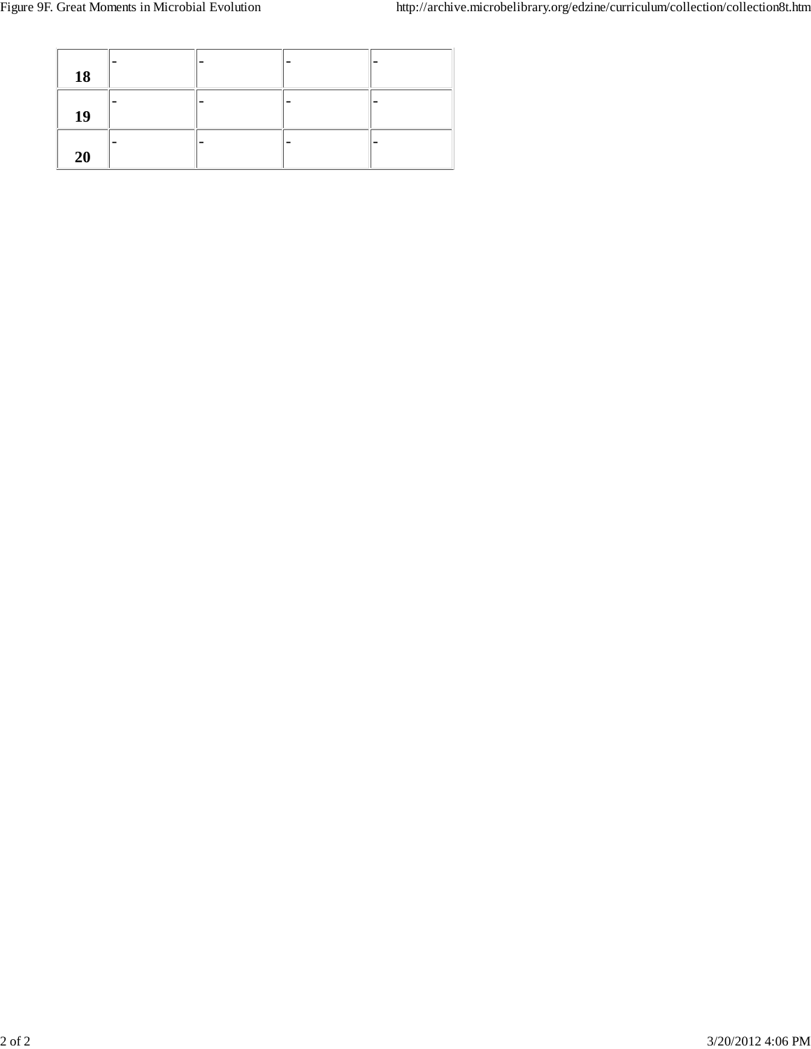| 18 |  |  |
|----|--|--|
| 19 |  |  |
| 20 |  |  |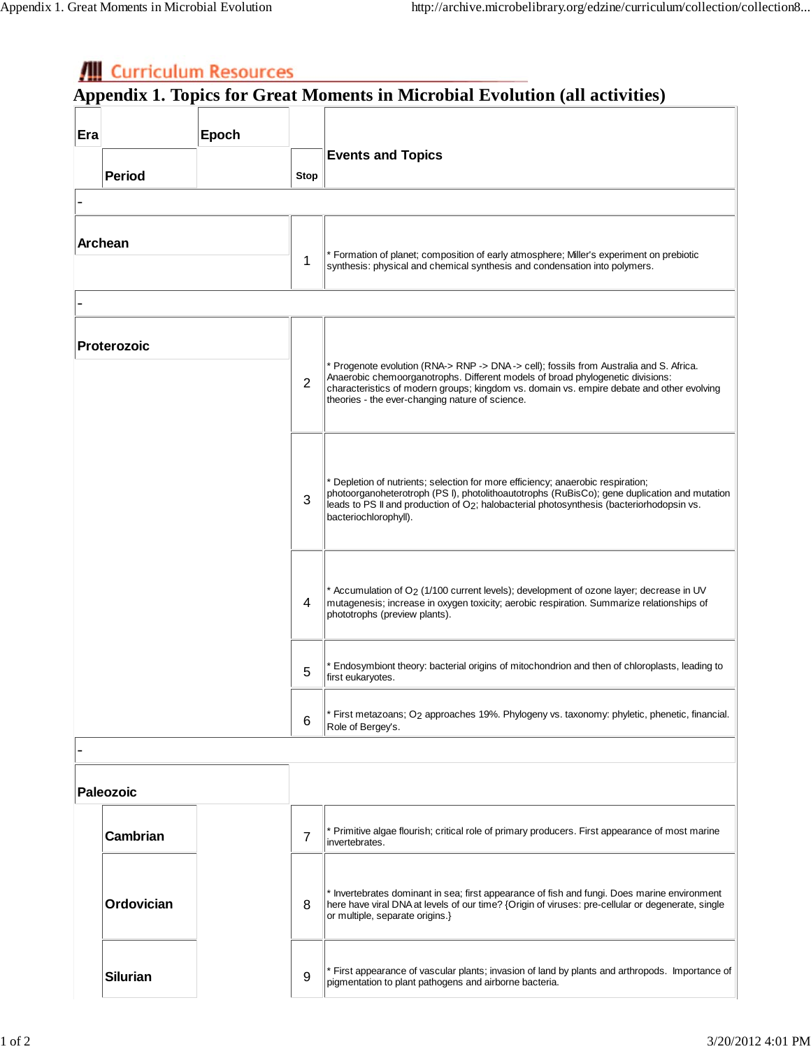|     |                 |       |                                                                                                                                                                                                                                                                                                    | Appendix 1. Topics for Great Moments in Microbial Evolution (all activities)                                                                                                                                                                                                                                             |
|-----|-----------------|-------|----------------------------------------------------------------------------------------------------------------------------------------------------------------------------------------------------------------------------------------------------------------------------------------------------|--------------------------------------------------------------------------------------------------------------------------------------------------------------------------------------------------------------------------------------------------------------------------------------------------------------------------|
| Era |                 | Epoch |                                                                                                                                                                                                                                                                                                    |                                                                                                                                                                                                                                                                                                                          |
|     |                 |       |                                                                                                                                                                                                                                                                                                    | <b>Events and Topics</b>                                                                                                                                                                                                                                                                                                 |
|     | <b>Period</b>   |       | Stop                                                                                                                                                                                                                                                                                               |                                                                                                                                                                                                                                                                                                                          |
|     |                 |       |                                                                                                                                                                                                                                                                                                    |                                                                                                                                                                                                                                                                                                                          |
|     |                 |       |                                                                                                                                                                                                                                                                                                    |                                                                                                                                                                                                                                                                                                                          |
|     | <b>Archean</b>  |       | 1                                                                                                                                                                                                                                                                                                  | * Formation of planet; composition of early atmosphere; Miller's experiment on prebiotic<br>synthesis: physical and chemical synthesis and condensation into polymers.                                                                                                                                                   |
|     |                 |       |                                                                                                                                                                                                                                                                                                    |                                                                                                                                                                                                                                                                                                                          |
|     | Proterozoic     |       | 2                                                                                                                                                                                                                                                                                                  | * Progenote evolution (RNA-> RNP -> DNA-> cell); fossils from Australia and S. Africa.<br>Anaerobic chemoorganotrophs. Different models of broad phylogenetic divisions:<br>characteristics of modern groups; kingdom vs. domain vs. empire debate and other evolving<br>theories - the ever-changing nature of science. |
|     |                 | 3     | Depletion of nutrients; selection for more efficiency; anaerobic respiration;<br>photoorganoheterotroph (PS I), photolithoautotrophs (RuBisCo); gene duplication and mutation<br>leads to PS II and production of O2; halobacterial photosynthesis (bacteriorhodopsin vs.<br>bacteriochlorophyll). |                                                                                                                                                                                                                                                                                                                          |
|     |                 |       | 4                                                                                                                                                                                                                                                                                                  | * Accumulation of O <sub>2</sub> (1/100 current levels); development of ozone layer; decrease in UV<br>mutagenesis; increase in oxygen toxicity; aerobic respiration. Summarize relationships of<br>phototrophs (preview plants).                                                                                        |
|     |                 |       | 5                                                                                                                                                                                                                                                                                                  | Endosymbiont theory: bacterial origins of mitochondrion and then of chloroplasts, leading to<br>first eukaryotes.                                                                                                                                                                                                        |
|     |                 |       | 6                                                                                                                                                                                                                                                                                                  | First metazoans; O2 approaches 19%. Phylogeny vs. taxonomy: phyletic, phenetic, financial.<br>Role of Bergey's.                                                                                                                                                                                                          |
|     |                 |       |                                                                                                                                                                                                                                                                                                    |                                                                                                                                                                                                                                                                                                                          |
|     | Paleozoic       |       |                                                                                                                                                                                                                                                                                                    |                                                                                                                                                                                                                                                                                                                          |
|     | Cambrian        |       | $\overline{7}$                                                                                                                                                                                                                                                                                     | * Primitive algae flourish; critical role of primary producers. First appearance of most marine<br>invertebrates.                                                                                                                                                                                                        |
|     | Ordovician      |       | 8                                                                                                                                                                                                                                                                                                  | Invertebrates dominant in sea; first appearance of fish and fungi. Does marine environment<br>here have viral DNA at levels of our time? {Origin of viruses: pre-cellular or degenerate, single<br>or multiple, separate origins.}                                                                                       |
|     | <b>Silurian</b> |       | 9                                                                                                                                                                                                                                                                                                  | * First appearance of vascular plants; invasion of land by plants and arthropods. Importance of<br>pigmentation to plant pathogens and airborne bacteria.                                                                                                                                                                |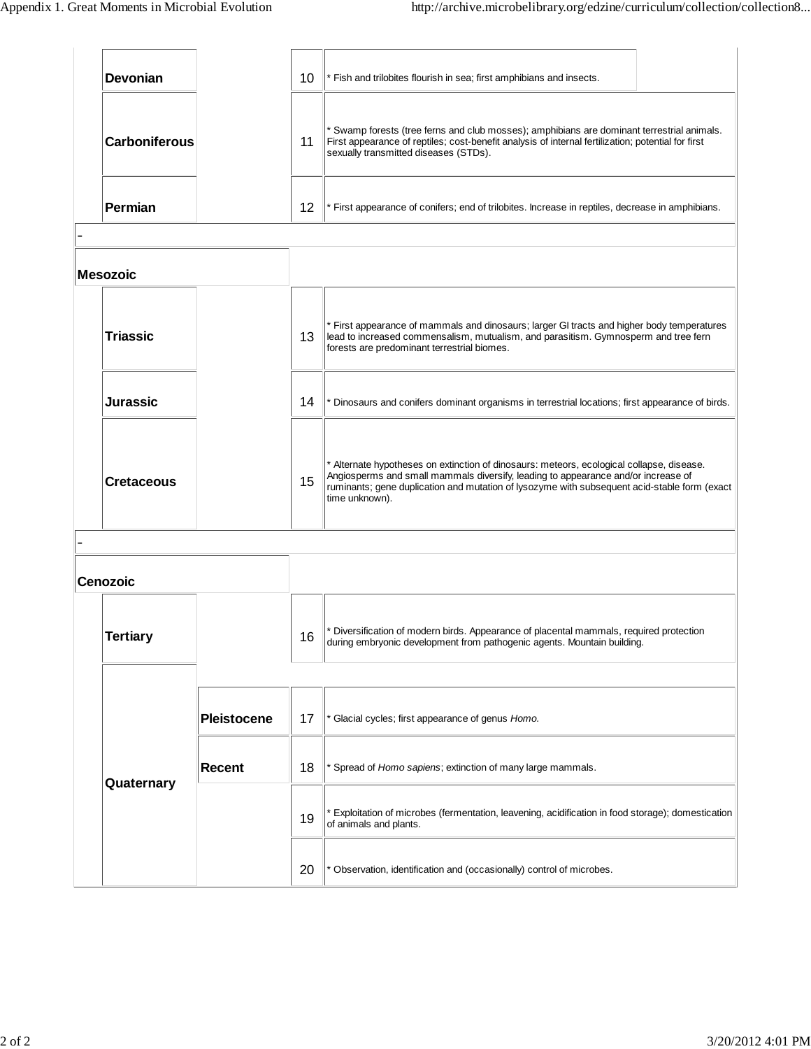| <b>Devonian</b>      |                    | 10 | * Fish and trilobites flourish in sea; first amphibians and insects.                                                                                                                                                                                                                             |  |  |  |
|----------------------|--------------------|----|--------------------------------------------------------------------------------------------------------------------------------------------------------------------------------------------------------------------------------------------------------------------------------------------------|--|--|--|
| <b>Carboniferous</b> |                    |    | * Swamp forests (tree ferns and club mosses); amphibians are dominant terrestrial animals.<br>First appearance of reptiles; cost-benefit analysis of internal fertilization; potential for first<br>sexually transmitted diseases (STDs).                                                        |  |  |  |
| <b>Permian</b>       |                    | 12 | * First appearance of conifers; end of trilobites. Increase in reptiles, decrease in amphibians.                                                                                                                                                                                                 |  |  |  |
| <b>Mesozoic</b>      |                    |    |                                                                                                                                                                                                                                                                                                  |  |  |  |
| <b>Triassic</b>      |                    | 13 | * First appearance of mammals and dinosaurs; larger GI tracts and higher body temperatures<br>lead to increased commensalism, mutualism, and parasitism. Gymnosperm and tree fern<br>forests are predominant terrestrial biomes.                                                                 |  |  |  |
| <b>Jurassic</b>      |                    | 14 | * Dinosaurs and conifers dominant organisms in terrestrial locations; first appearance of birds.                                                                                                                                                                                                 |  |  |  |
| Cretaceous           |                    | 15 | * Alternate hypotheses on extinction of dinosaurs: meteors, ecological collapse, disease.<br>Angiosperms and small mammals diversify, leading to appearance and/or increase of<br>ruminants; gene duplication and mutation of lysozyme with subsequent acid-stable form (exact<br>time unknown). |  |  |  |
|                      |                    |    |                                                                                                                                                                                                                                                                                                  |  |  |  |
| <b>Cenozoic</b>      |                    |    |                                                                                                                                                                                                                                                                                                  |  |  |  |
| <b>Tertiary</b>      |                    | 16 | * Diversification of modern birds. Appearance of placental mammals, required protection<br>during embryonic development from pathogenic agents. Mountain building.                                                                                                                               |  |  |  |
|                      | <b>Pleistocene</b> | 17 | Glacial cycles; first appearance of genus Homo.                                                                                                                                                                                                                                                  |  |  |  |
| Quaternary           | <b>Recent</b>      | 18 | * Spread of Homo sapiens; extinction of many large mammals.                                                                                                                                                                                                                                      |  |  |  |
|                      |                    | 19 | * Exploitation of microbes (fermentation, leavening, acidification in food storage); domestication<br>of animals and plants.                                                                                                                                                                     |  |  |  |
|                      |                    | 20 | Observation, identification and (occasionally) control of microbes.                                                                                                                                                                                                                              |  |  |  |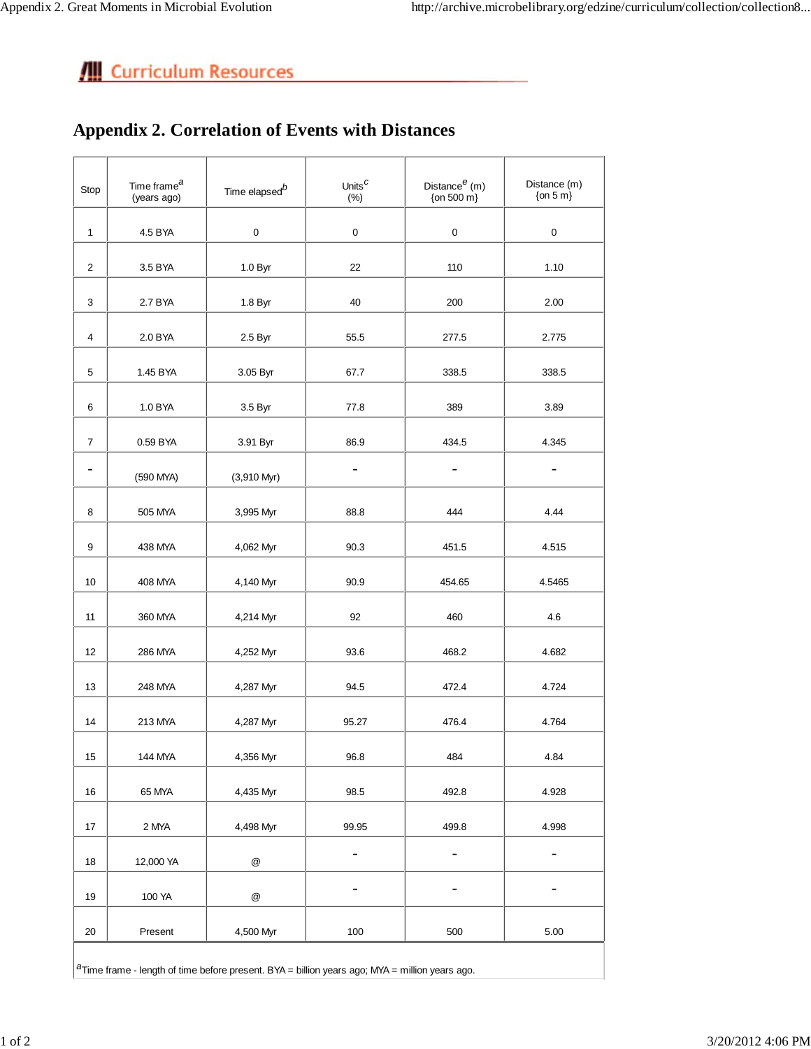### **Appendix 2. Correlation of Events with Distances**

| Stop                | Time frame <sup>a</sup><br>Time elapsed <sup>b</sup><br>(years ago)                                    |                           | Units <sup>C</sup><br>(%) | Distance $^e$ (m)<br>{on 500 m} | Distance (m)<br>$\{$ on 5 m $\}$ |  |  |  |
|---------------------|--------------------------------------------------------------------------------------------------------|---------------------------|---------------------------|---------------------------------|----------------------------------|--|--|--|
| $\mathbf{1}$        | 4.5 BYA                                                                                                | $\pmb{0}$                 | 0                         | 0                               | 0                                |  |  |  |
| $\overline{2}$      | 3.5 BYA                                                                                                | 1.0 Byr                   | 22                        | 110                             | 1.10                             |  |  |  |
| 3                   | 2.7 BYA                                                                                                | 1.8 Byr                   | 40                        | 200                             | 2.00                             |  |  |  |
| 4                   | 2.0 BYA                                                                                                | 2.5 Byr                   | 55.5                      | 277.5                           | 2.775                            |  |  |  |
| 5                   | 1.45 BYA                                                                                               | 3.05 Byr                  | 67.7                      | 338.5                           | 338.5                            |  |  |  |
| 6                   | 1.0 BYA                                                                                                | 3.5 Byr                   | 77.8                      | 389                             | 3.89                             |  |  |  |
|                     |                                                                                                        |                           |                           | 434.5                           |                                  |  |  |  |
| $\overline{7}$<br>- | 0.59 BYA                                                                                               | 3.91 Byr                  | 86.9<br>$\overline{a}$    | $\overline{\phantom{0}}$        | 4.345                            |  |  |  |
|                     | (590 MYA)                                                                                              | $(3,910$ Myr)             |                           |                                 |                                  |  |  |  |
| 8                   | 505 MYA                                                                                                | 3,995 Myr                 | 88.8                      | 444                             | 4.44                             |  |  |  |
| 9                   | 438 MYA                                                                                                | 4,062 Myr                 | 90.3                      | 451.5                           | 4.515                            |  |  |  |
| 10                  | 408 MYA                                                                                                | 4,140 Myr                 | 90.9                      | 454.65                          | 4.5465                           |  |  |  |
| 11                  | 360 MYA                                                                                                | 4,214 Myr                 | 92                        | 460                             | 4.6                              |  |  |  |
| 12                  | 286 MYA                                                                                                | 4,252 Myr                 | 93.6                      | 468.2                           | 4.682                            |  |  |  |
| 13                  | 248 MYA                                                                                                | 4,287 Myr                 | 94.5                      | 472.4                           | 4.724                            |  |  |  |
| 14                  | 213 MYA                                                                                                | 4,287 Myr                 | 95.27                     | 476.4                           | 4.764                            |  |  |  |
| 15                  | 144 MYA                                                                                                | 4,356 Myr                 | 96.8                      | 484                             | 4.84                             |  |  |  |
| 16                  | 65 MYA                                                                                                 | 4,435 Myr                 | 98.5                      | 492.8                           | 4.928                            |  |  |  |
| 17                  | 2 MYA                                                                                                  | 4,498 Myr                 | 99.95                     | 499.8                           | 4.998                            |  |  |  |
|                     |                                                                                                        |                           | $\overline{\phantom{0}}$  | $\overline{\phantom{a}}$        | -                                |  |  |  |
| 18                  | 12,000 YA                                                                                              | $^\text{\textregistered}$ |                           |                                 |                                  |  |  |  |
| 19                  | 100 YA                                                                                                 | $^\text{\textregistered}$ | $\overline{\phantom{0}}$  | $\overline{\phantom{a}}$        | -                                |  |  |  |
| 20                  | Present                                                                                                | 4,500 Myr                 | 100                       | 500                             | 5.00                             |  |  |  |
|                     | ${}^{a}$ Time frame - length of time before present. BYA = billion years ago; MYA = million years ago. |                           |                           |                                 |                                  |  |  |  |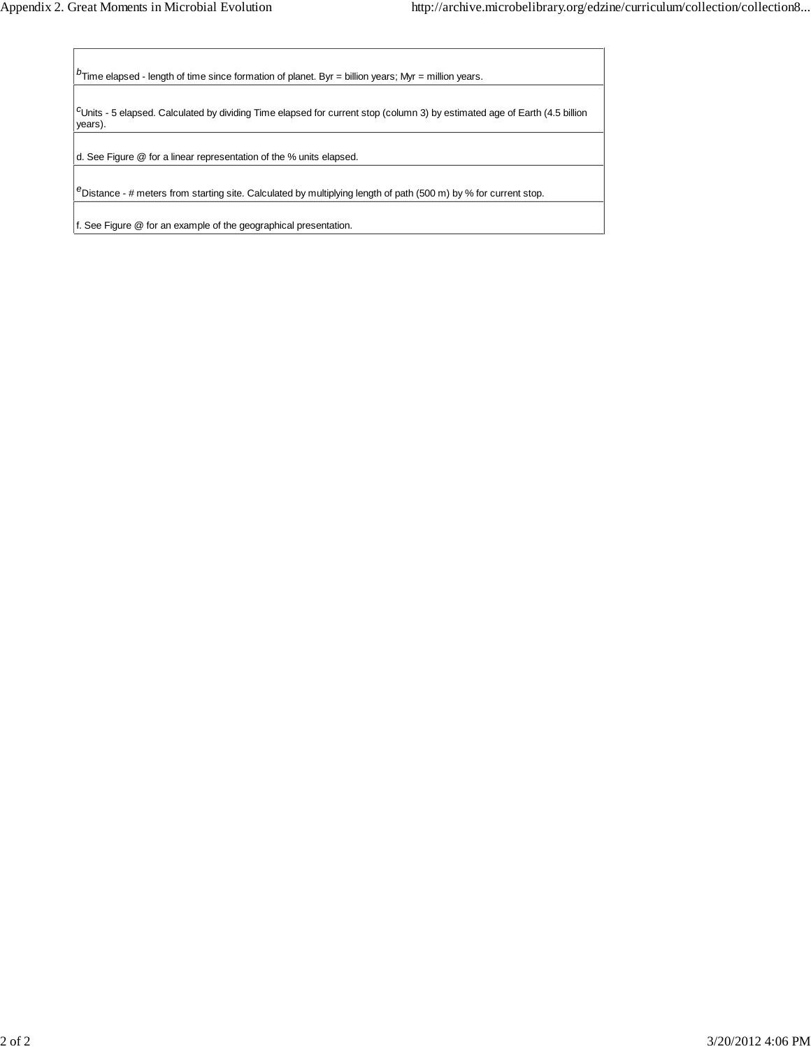*<sup>b</sup>*Time elapsed - length of time since formation of planet. Byr = billion years; Myr = million years.

*c* Units - 5 elapsed. Calculated by dividing Time elapsed for current stop (column 3) by estimated age of Earth (4.5 billion years).

d. See Figure @ for a linear representation of the % units elapsed.

*<sup>e</sup>*Distance - # meters from starting site. Calculated by multiplying length of path (500 m) by % for current stop.

f. See Figure @ for an example of the geographical presentation.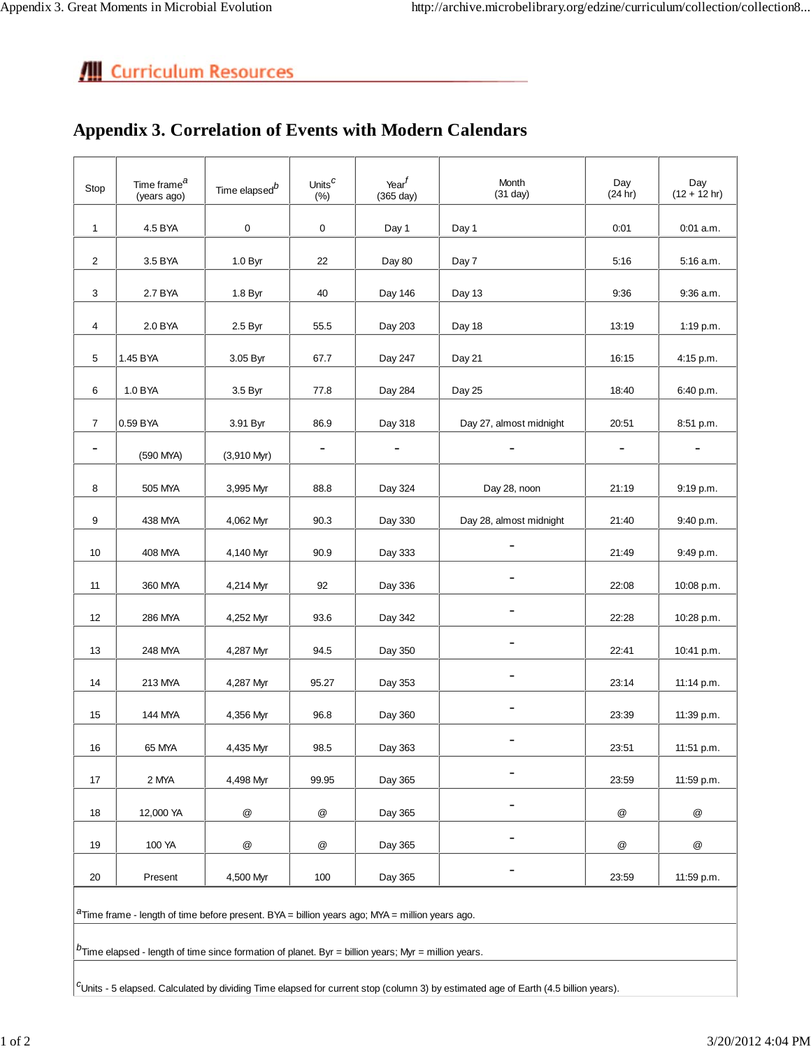### **Appendix 3. Correlation of Events with Modern Calendars**

| Stop           | Time frame <sup>a</sup><br>(years ago)                                                                 | Time elapsed $^b$ | Units <sup>C</sup><br>(%) | Year <sup>f</sup><br>(365 day) | Month<br>$(31$ day)     | Day<br>(24 hr)            | Day<br>$(12 + 12 hr)$    |  |
|----------------|--------------------------------------------------------------------------------------------------------|-------------------|---------------------------|--------------------------------|-------------------------|---------------------------|--------------------------|--|
| $\mathbf{1}$   | 4.5 BYA                                                                                                | 0                 | $\mathbf 0$               | Day 1                          | Day 1                   | 0:01                      | $0:01$ a.m.              |  |
| $\overline{2}$ | 3.5 BYA                                                                                                | 1.0 Byr           | 22                        | Day 80                         | Day 7                   | 5:16                      | 5:16 a.m.                |  |
| 3              | 2.7 BYA                                                                                                | 1.8 Byr           | 40                        | Day 146                        | Day 13                  | 9:36                      | $9:36$ a.m.              |  |
| 4              | 2.0 BYA                                                                                                | 2.5 Byr           | 55.5                      | Day 203                        | Day 18                  | 13:19                     | 1:19 p.m.                |  |
| 5              | 1.45 BYA                                                                                               | 3.05 Byr          | 67.7                      | Day 247                        | Day 21                  | 16:15                     | 4:15 p.m.                |  |
| 6              | 1.0 BYA                                                                                                | 3.5 Byr           | 77.8                      | Day 284                        | Day 25                  | 18:40                     | 6:40 p.m.                |  |
| 7              | 0.59 BYA                                                                                               | 3.91 Byr          | 86.9                      | Day 318                        | Day 27, almost midnight | 20:51                     | 8:51 p.m.                |  |
| -              | (590 MYA)                                                                                              | $(3,910$ Myr)     | -                         | $\qquad \qquad -$              |                         |                           | $\overline{\phantom{a}}$ |  |
| 8              | 505 MYA                                                                                                | 3,995 Myr         | 88.8                      | Day 324                        | Day 28, noon            | 21:19                     | 9:19 p.m.                |  |
| 9              | 438 MYA                                                                                                | 4,062 Myr         | 90.3                      | Day 330                        | Day 28, almost midnight | 21:40                     | 9:40 p.m.                |  |
| 10             | 408 MYA                                                                                                | 4,140 Myr         | 90.9                      | Day 333                        | $\overline{a}$          | 21:49                     | 9:49 p.m.                |  |
| 11             | 360 MYA                                                                                                | 4,214 Myr         | 92                        | Day 336                        | $\overline{a}$          | 22:08                     | 10:08 p.m.               |  |
| 12             | <b>286 MYA</b>                                                                                         | 4,252 Myr         | 93.6                      | Day 342                        | $\overline{a}$          | 22:28                     | 10:28 p.m.               |  |
| 13             | 248 MYA                                                                                                | 4,287 Myr         | 94.5                      | Day 350                        | -                       | 22:41                     | 10:41 p.m.               |  |
| 14             | 213 MYA                                                                                                | 4,287 Myr         | 95.27                     | Day 353                        | -                       | 23:14                     | 11:14 p.m.               |  |
| 15             | 144 MYA                                                                                                | 4,356 Myr         | 96.8                      | Day 360                        | -                       | 23:39                     | 11:39 p.m.               |  |
| 16             | 65 MYA                                                                                                 | 4,435 Myr         | 98.5                      | Day 363                        | -                       | 23:51                     | 11:51 p.m.               |  |
| 17             | 2 MYA                                                                                                  | 4,498 Myr         | 99.95                     | Day 365                        |                         | 23:59                     | 11:59 p.m.               |  |
| 18             | 12,000 YA                                                                                              | $^\copyright$     | $^\copyright$             | Day 365                        |                         | $^\text{\textregistered}$ | @                        |  |
| 19             | 100 YA                                                                                                 | $^\copyright$     | @                         | Day 365                        |                         | $^\copyright$             | @                        |  |
| 20             | Present                                                                                                | 4,500 Myr         | 100                       | Day 365                        |                         | 23:59                     | 11:59 p.m.               |  |
|                | ${}^{a}$ Time frame - length of time before present. BYA = billion years ago; MYA = million years ago. |                   |                           |                                |                         |                           |                          |  |
|                |                                                                                                        |                   |                           |                                |                         |                           |                          |  |
|                | $b$ Time elapsed - length of time since formation of planet. Byr = billion years; Myr = million years. |                   |                           |                                |                         |                           |                          |  |

*c* Units - 5 elapsed. Calculated by dividing Time elapsed for current stop (column 3) by estimated age of Earth (4.5 billion years).